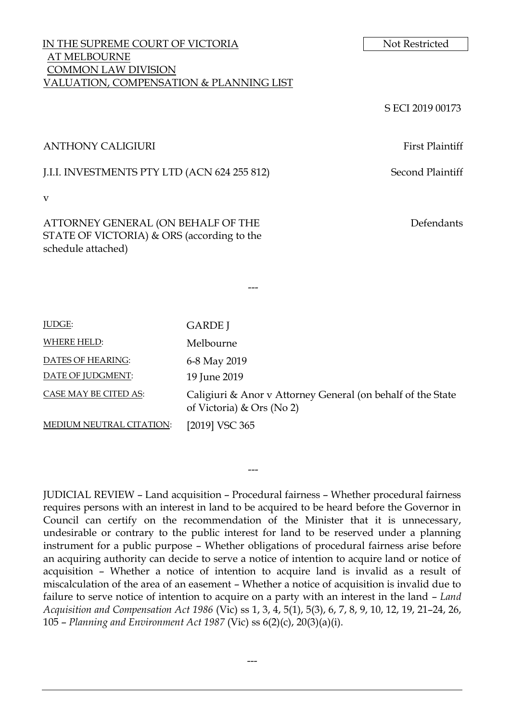## IN THE SUPREME COURT OF VICTORIA Not Restricted AT MELBOURNE COMMON LAW DIVISION VALUATION, COMPENSATION & PLANNING LIST

S ECI 2019 00173

#### ANTHONY CALIGIURI First Plaintiff

J.I.I. INVESTMENTS PTY LTD (ACN 624 255 812) Second Plaintiff

v

ATTORNEY GENERAL (ON BEHALF OF THE STATE OF VICTORIA) & ORS (according to the schedule attached)

Defendants

| <b>JUDGE:</b>            | <b>GARDE</b> J                                                                           |  |
|--------------------------|------------------------------------------------------------------------------------------|--|
| WHERE HELD:              | Melbourne                                                                                |  |
| DATES OF HEARING:        | 6-8 May 2019                                                                             |  |
| DATE OF JUDGMENT:        | 19 June 2019                                                                             |  |
| CASE MAY BE CITED AS:    | Caligiuri & Anor v Attorney General (on behalf of the State<br>of Victoria) & Ors (No 2) |  |
| MEDIUM NEUTRAL CITATION: | [2019] VSC 365                                                                           |  |

---

JUDICIAL REVIEW – Land acquisition – Procedural fairness – Whether procedural fairness requires persons with an interest in land to be acquired to be heard before the Governor in Council can certify on the recommendation of the Minister that it is unnecessary, undesirable or contrary to the public interest for land to be reserved under a planning instrument for a public purpose – Whether obligations of procedural fairness arise before an acquiring authority can decide to serve a notice of intention to acquire land or notice of acquisition – Whether a notice of intention to acquire land is invalid as a result of miscalculation of the area of an easement – Whether a notice of acquisition is invalid due to failure to serve notice of intention to acquire on a party with an interest in the land – *Land Acquisition and Compensation Act 1986* (Vic) ss 1, 3, 4, 5(1), 5(3), 6, 7, 8, 9, 10, 12, 19, 21–24, 26, 105 – *Planning and Environment Act 1987* (Vic) ss 6(2)(c), 20(3)(a)(i).

---

---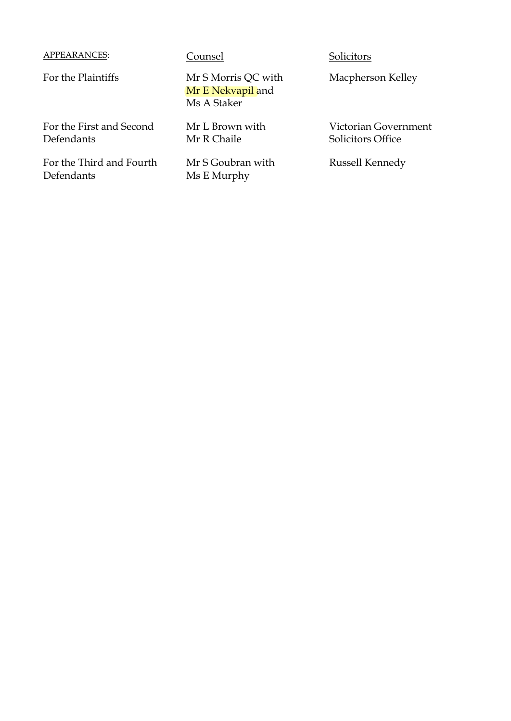# APPEARANCES: Counsel Solicitors

For the Plaintiffs Mr S Morris QC with Mr E Nekvapil and Ms A Staker

> Mr L Brown with Mr R Chaile

Mr S Goubran with Ms E Murphy

Macpherson Kelley

Victorian Government Solicitors Office

Russell Kennedy

For the First and Second Defendants

For the Third and Fourth Defendants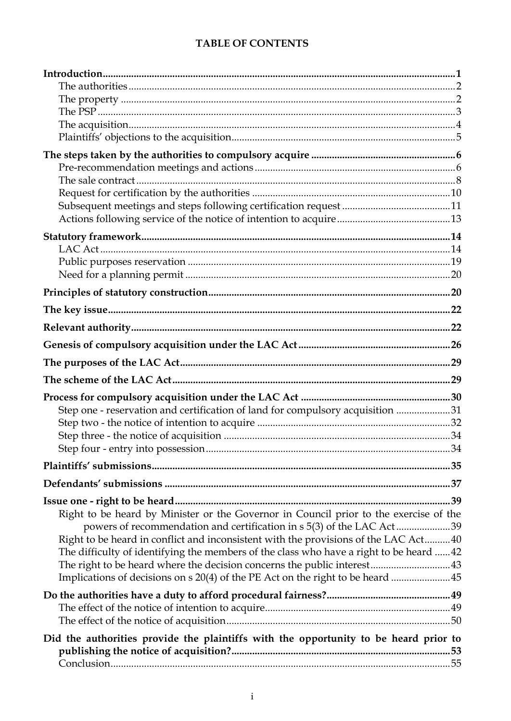# **TABLE OF CONTENTS**

| Step one - reservation and certification of land for compulsory acquisition 31          |  |
|-----------------------------------------------------------------------------------------|--|
|                                                                                         |  |
|                                                                                         |  |
|                                                                                         |  |
|                                                                                         |  |
|                                                                                         |  |
|                                                                                         |  |
| Right to be heard by Minister or the Governor in Council prior to the exercise of the   |  |
| powers of recommendation and certification in s 5(3) of the LAC Act39                   |  |
| Right to be heard in conflict and inconsistent with the provisions of the LAC Act 40    |  |
| The difficulty of identifying the members of the class who have a right to be heard  42 |  |
| The right to be heard where the decision concerns the public interest 43                |  |
| Implications of decisions on s 20(4) of the PE Act on the right to be heard  45         |  |
|                                                                                         |  |
|                                                                                         |  |
|                                                                                         |  |
|                                                                                         |  |
| Did the authorities provide the plaintiffs with the opportunity to be heard prior to    |  |
|                                                                                         |  |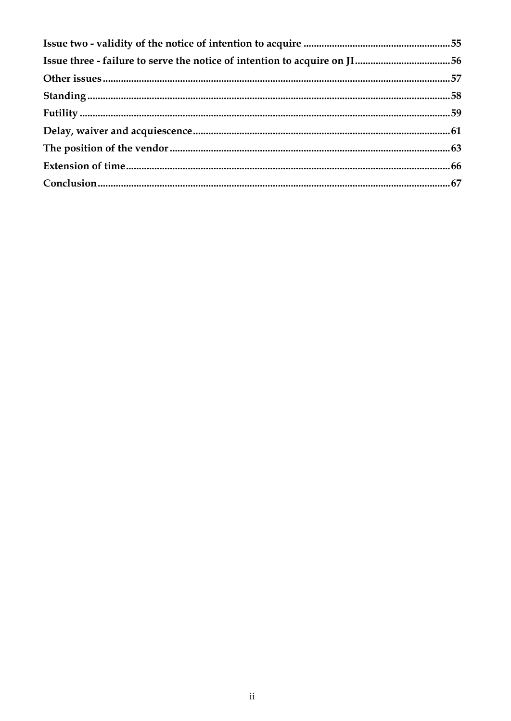| Issue three - failure to serve the notice of intention to acquire on JI56 |  |
|---------------------------------------------------------------------------|--|
|                                                                           |  |
|                                                                           |  |
|                                                                           |  |
|                                                                           |  |
|                                                                           |  |
|                                                                           |  |
|                                                                           |  |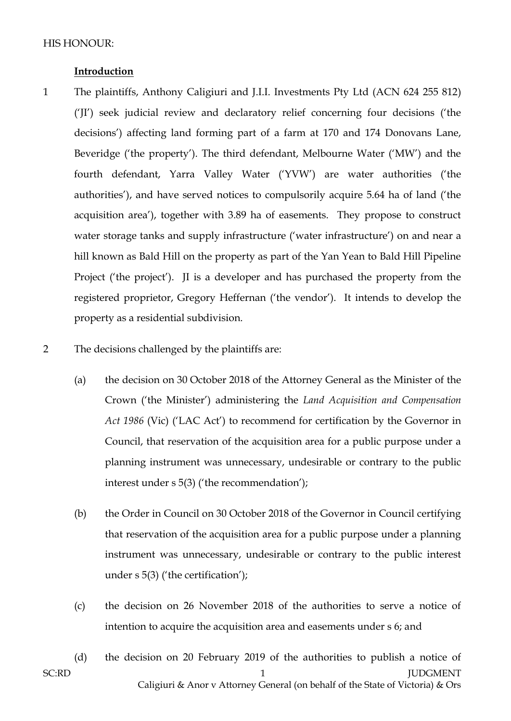#### **Introduction**

- 1 The plaintiffs, Anthony Caligiuri and J.I.I. Investments Pty Ltd (ACN 624 255 812) ('JI') seek judicial review and declaratory relief concerning four decisions ('the decisions') affecting land forming part of a farm at 170 and 174 Donovans Lane, Beveridge ('the property'). The third defendant, Melbourne Water ('MW') and the fourth defendant, Yarra Valley Water ('YVW') are water authorities ('the authorities'), and have served notices to compulsorily acquire 5.64 ha of land ('the acquisition area'), together with 3.89 ha of easements. They propose to construct water storage tanks and supply infrastructure ('water infrastructure') on and near a hill known as Bald Hill on the property as part of the Yan Yean to Bald Hill Pipeline Project ('the project'). JI is a developer and has purchased the property from the registered proprietor, Gregory Heffernan ('the vendor'). It intends to develop the property as a residential subdivision.
- 2 The decisions challenged by the plaintiffs are:
	- (a) the decision on 30 October 2018 of the Attorney General as the Minister of the Crown ('the Minister') administering the *Land Acquisition and Compensation Act 1986* (Vic) ('LAC Act') to recommend for certification by the Governor in Council, that reservation of the acquisition area for a public purpose under a planning instrument was unnecessary, undesirable or contrary to the public interest under s 5(3) ('the recommendation');
	- (b) the Order in Council on 30 October 2018 of the Governor in Council certifying that reservation of the acquisition area for a public purpose under a planning instrument was unnecessary, undesirable or contrary to the public interest under s 5(3) ('the certification');
	- (c) the decision on 26 November 2018 of the authorities to serve a notice of intention to acquire the acquisition area and easements under s 6; and
- SC:RD 1 JUDGMENT Caligiuri & Anor v Attorney General (on behalf of the State of Victoria) & Ors (d) the decision on 20 February 2019 of the authorities to publish a notice of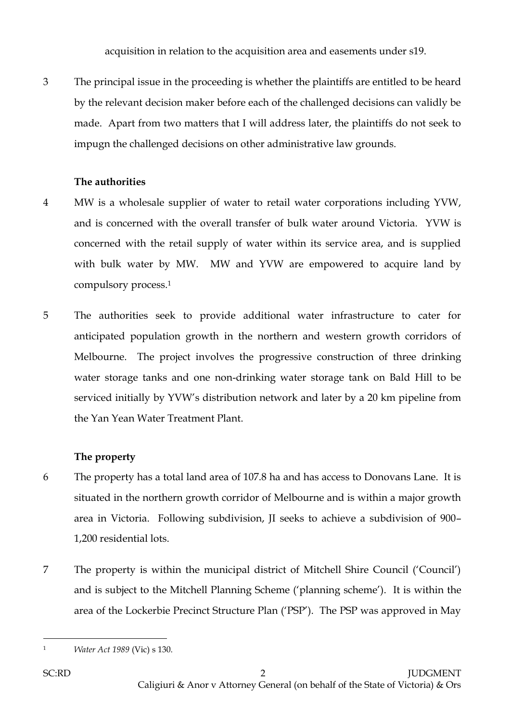acquisition in relation to the acquisition area and easements under s19.

3 The principal issue in the proceeding is whether the plaintiffs are entitled to be heard by the relevant decision maker before each of the challenged decisions can validly be made. Apart from two matters that I will address later, the plaintiffs do not seek to impugn the challenged decisions on other administrative law grounds.

## **The authorities**

- 4 MW is a wholesale supplier of water to retail water corporations including YVW, and is concerned with the overall transfer of bulk water around Victoria. YVW is concerned with the retail supply of water within its service area, and is supplied with bulk water by MW. MW and YVW are empowered to acquire land by compulsory process.<sup>1</sup>
- 5 The authorities seek to provide additional water infrastructure to cater for anticipated population growth in the northern and western growth corridors of Melbourne. The project involves the progressive construction of three drinking water storage tanks and one non-drinking water storage tank on Bald Hill to be serviced initially by YVW's distribution network and later by a 20 km pipeline from the Yan Yean Water Treatment Plant.

# **The property**

- 6 The property has a total land area of 107.8 ha and has access to Donovans Lane. It is situated in the northern growth corridor of Melbourne and is within a major growth area in Victoria. Following subdivision, JI seeks to achieve a subdivision of 900– 1,200 residential lots.
- 7 The property is within the municipal district of Mitchell Shire Council ('Council') and is subject to the Mitchell Planning Scheme ('planning scheme'). It is within the area of the Lockerbie Precinct Structure Plan ('PSP'). The PSP was approved in May

 $\overline{a}$ <sup>1</sup> *Water Act 1989* (Vic) s 130.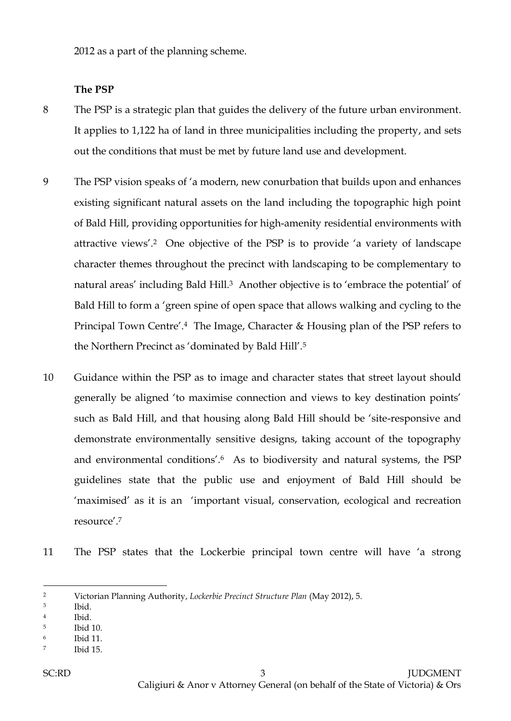2012 as a part of the planning scheme.

#### **The PSP**

- 8 The PSP is a strategic plan that guides the delivery of the future urban environment. It applies to 1,122 ha of land in three municipalities including the property, and sets out the conditions that must be met by future land use and development.
- 9 The PSP vision speaks of 'a modern, new conurbation that builds upon and enhances existing significant natural assets on the land including the topographic high point of Bald Hill, providing opportunities for high-amenity residential environments with attractive views'.<sup>2</sup> One objective of the PSP is to provide 'a variety of landscape character themes throughout the precinct with landscaping to be complementary to natural areas' including Bald Hill.<sup>3</sup> Another objective is to 'embrace the potential' of Bald Hill to form a 'green spine of open space that allows walking and cycling to the Principal Town Centre'.4 The Image, Character & Housing plan of the PSP refers to the Northern Precinct as 'dominated by Bald Hill'.<sup>5</sup>
- 10 Guidance within the PSP as to image and character states that street layout should generally be aligned 'to maximise connection and views to key destination points' such as Bald Hill, and that housing along Bald Hill should be 'site-responsive and demonstrate environmentally sensitive designs, taking account of the topography and environmental conditions'.6 As to biodiversity and natural systems, the PSP guidelines state that the public use and enjoyment of Bald Hill should be 'maximised' as it is an 'important visual, conservation, ecological and recreation resource'.<sup>7</sup>
- 11 The PSP states that the Lockerbie principal town centre will have 'a strong

<sup>2</sup> Victorian Planning Authority, *Lockerbie Precinct Structure Plan* (May 2012), 5.

<sup>3</sup> Ibid.

<sup>4</sup> Ibid.

<sup>5</sup> Ibid 10.

<sup>6</sup> Ibid 11.

<sup>7</sup> Ibid 15.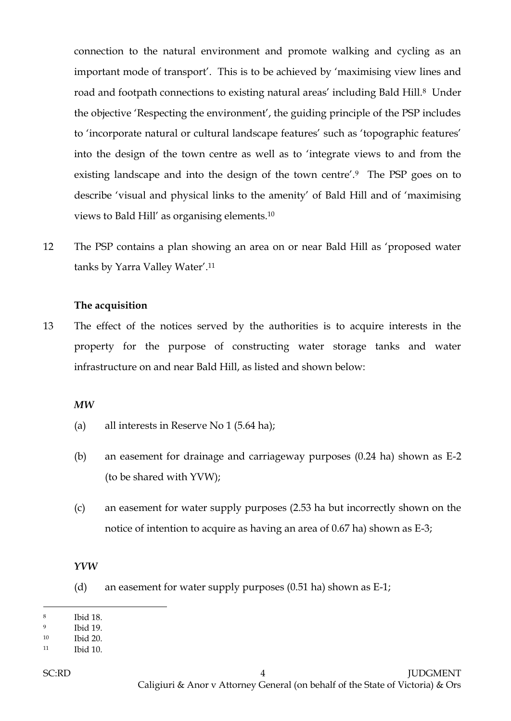connection to the natural environment and promote walking and cycling as an important mode of transport'. This is to be achieved by 'maximising view lines and road and footpath connections to existing natural areas' including Bald Hill.8 Under the objective 'Respecting the environment', the guiding principle of the PSP includes to 'incorporate natural or cultural landscape features' such as 'topographic features' into the design of the town centre as well as to 'integrate views to and from the existing landscape and into the design of the town centre'.9 The PSP goes on to describe 'visual and physical links to the amenity' of Bald Hill and of 'maximising views to Bald Hill' as organising elements.<sup>10</sup>

12 The PSP contains a plan showing an area on or near Bald Hill as 'proposed water tanks by Yarra Valley Water'.<sup>11</sup>

#### **The acquisition**

13 The effect of the notices served by the authorities is to acquire interests in the property for the purpose of constructing water storage tanks and water infrastructure on and near Bald Hill, as listed and shown below:

#### *MW*

- (a) all interests in Reserve No 1 (5.64 ha);
- (b) an easement for drainage and carriageway purposes (0.24 ha) shown as E-2 (to be shared with YVW);
- (c) an easement for water supply purposes (2.53 ha but incorrectly shown on the notice of intention to acquire as having an area of 0.67 ha) shown as E-3;

#### *YVW*

(d) an easement for water supply purposes (0.51 ha) shown as E-1;

<sup>8</sup> Ibid 18.

<sup>9</sup> Ibid 19.

<sup>10</sup> Ibid 20.

<sup>11</sup> Ibid 10.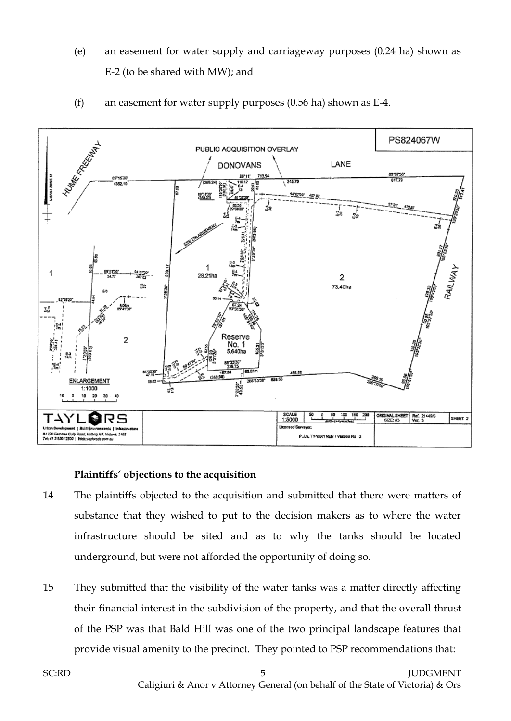- (e) an easement for water supply and carriageway purposes (0.24 ha) shown as E-2 (to be shared with MW); and
- (f) an easement for water supply purposes (0.56 ha) shown as E-4.



## **Plaintiffs' objections to the acquisition**

- 14 The plaintiffs objected to the acquisition and submitted that there were matters of substance that they wished to put to the decision makers as to where the water infrastructure should be sited and as to why the tanks should be located underground, but were not afforded the opportunity of doing so.
- 15 They submitted that the visibility of the water tanks was a matter directly affecting their financial interest in the subdivision of the property, and that the overall thrust of the PSP was that Bald Hill was one of the two principal landscape features that provide visual amenity to the precinct. They pointed to PSP recommendations that: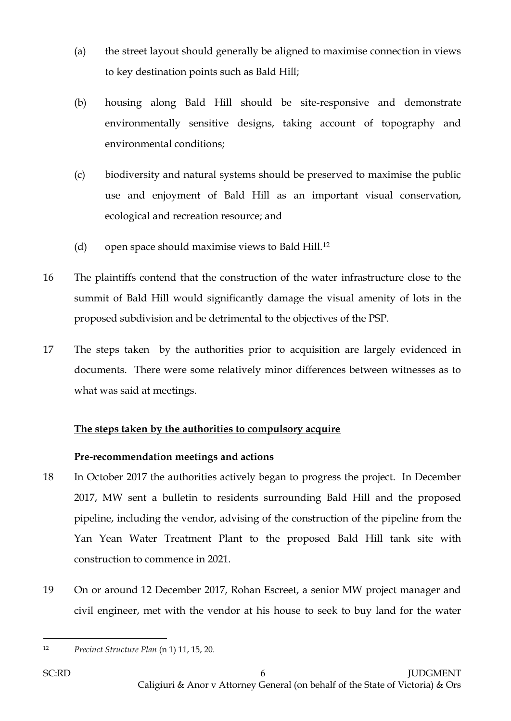- (a) the street layout should generally be aligned to maximise connection in views to key destination points such as Bald Hill;
- (b) housing along Bald Hill should be site-responsive and demonstrate environmentally sensitive designs, taking account of topography and environmental conditions;
- (c) biodiversity and natural systems should be preserved to maximise the public use and enjoyment of Bald Hill as an important visual conservation, ecological and recreation resource; and
- (d) open space should maximise views to Bald Hill.<sup>12</sup>
- 16 The plaintiffs contend that the construction of the water infrastructure close to the summit of Bald Hill would significantly damage the visual amenity of lots in the proposed subdivision and be detrimental to the objectives of the PSP.
- 17 The steps taken by the authorities prior to acquisition are largely evidenced in documents. There were some relatively minor differences between witnesses as to what was said at meetings.

# **The steps taken by the authorities to compulsory acquire**

# **Pre-recommendation meetings and actions**

- 18 In October 2017 the authorities actively began to progress the project. In December 2017, MW sent a bulletin to residents surrounding Bald Hill and the proposed pipeline, including the vendor, advising of the construction of the pipeline from the Yan Yean Water Treatment Plant to the proposed Bald Hill tank site with construction to commence in 2021.
- 19 On or around 12 December 2017, Rohan Escreet, a senior MW project manager and civil engineer, met with the vendor at his house to seek to buy land for the water

 $\overline{a}$ <sup>12</sup> *Precinct Structure Plan* (n 1) 11, 15, 20.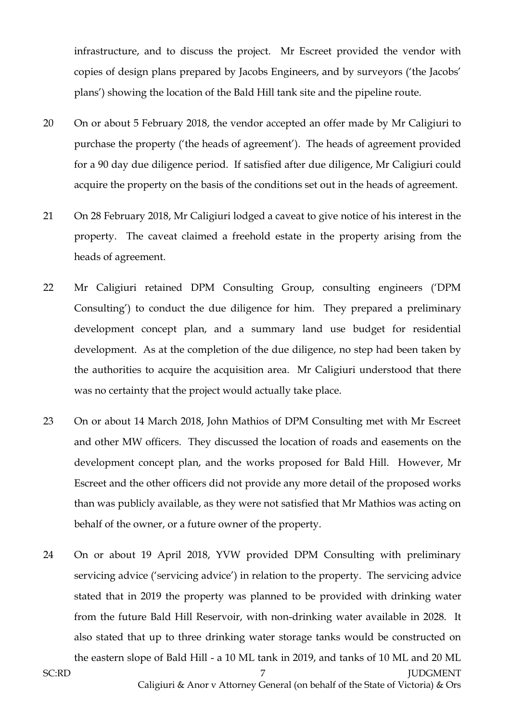infrastructure, and to discuss the project. Mr Escreet provided the vendor with copies of design plans prepared by Jacobs Engineers, and by surveyors ('the Jacobs' plans') showing the location of the Bald Hill tank site and the pipeline route.

- 20 On or about 5 February 2018, the vendor accepted an offer made by Mr Caligiuri to purchase the property ('the heads of agreement'). The heads of agreement provided for a 90 day due diligence period. If satisfied after due diligence, Mr Caligiuri could acquire the property on the basis of the conditions set out in the heads of agreement.
- 21 On 28 February 2018, Mr Caligiuri lodged a caveat to give notice of his interest in the property. The caveat claimed a freehold estate in the property arising from the heads of agreement.
- 22 Mr Caligiuri retained DPM Consulting Group, consulting engineers ('DPM Consulting') to conduct the due diligence for him. They prepared a preliminary development concept plan, and a summary land use budget for residential development. As at the completion of the due diligence, no step had been taken by the authorities to acquire the acquisition area. Mr Caligiuri understood that there was no certainty that the project would actually take place.
- 23 On or about 14 March 2018, John Mathios of DPM Consulting met with Mr Escreet and other MW officers. They discussed the location of roads and easements on the development concept plan, and the works proposed for Bald Hill. However, Mr Escreet and the other officers did not provide any more detail of the proposed works than was publicly available, as they were not satisfied that Mr Mathios was acting on behalf of the owner, or a future owner of the property.
- 24 On or about 19 April 2018, YVW provided DPM Consulting with preliminary servicing advice ('servicing advice') in relation to the property. The servicing advice stated that in 2019 the property was planned to be provided with drinking water from the future Bald Hill Reservoir, with non-drinking water available in 2028. It also stated that up to three drinking water storage tanks would be constructed on the eastern slope of Bald Hill - a 10 ML tank in 2019, and tanks of 10 ML and 20 ML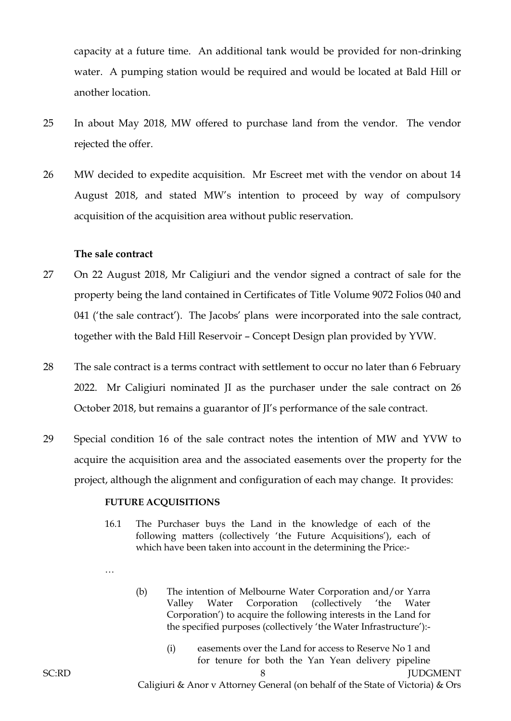capacity at a future time. An additional tank would be provided for non-drinking water. A pumping station would be required and would be located at Bald Hill or another location.

- 25 In about May 2018, MW offered to purchase land from the vendor. The vendor rejected the offer.
- 26 MW decided to expedite acquisition. Mr Escreet met with the vendor on about 14 August 2018, and stated MW's intention to proceed by way of compulsory acquisition of the acquisition area without public reservation.

#### **The sale contract**

- 27 On 22 August 2018, Mr Caligiuri and the vendor signed a contract of sale for the property being the land contained in Certificates of Title Volume 9072 Folios 040 and 041 ('the sale contract'). The Jacobs' plans were incorporated into the sale contract, together with the Bald Hill Reservoir – Concept Design plan provided by YVW.
- 28 The sale contract is a terms contract with settlement to occur no later than 6 February 2022. Mr Caligiuri nominated JI as the purchaser under the sale contract on 26 October 2018, but remains a guarantor of JI's performance of the sale contract.
- 29 Special condition 16 of the sale contract notes the intention of MW and YVW to acquire the acquisition area and the associated easements over the property for the project, although the alignment and configuration of each may change. It provides:

#### **FUTURE ACQUISITIONS**

- 16.1 The Purchaser buys the Land in the knowledge of each of the following matters (collectively 'the Future Acquisitions'), each of which have been taken into account in the determining the Price:-
- …

(b) The intention of Melbourne Water Corporation and/or Yarra Valley Water Corporation (collectively 'the Water Corporation') to acquire the following interests in the Land for the specified purposes (collectively 'the Water Infrastructure'):-

> (i) easements over the Land for access to Reserve No 1 and for tenure for both the Yan Yean delivery pipeline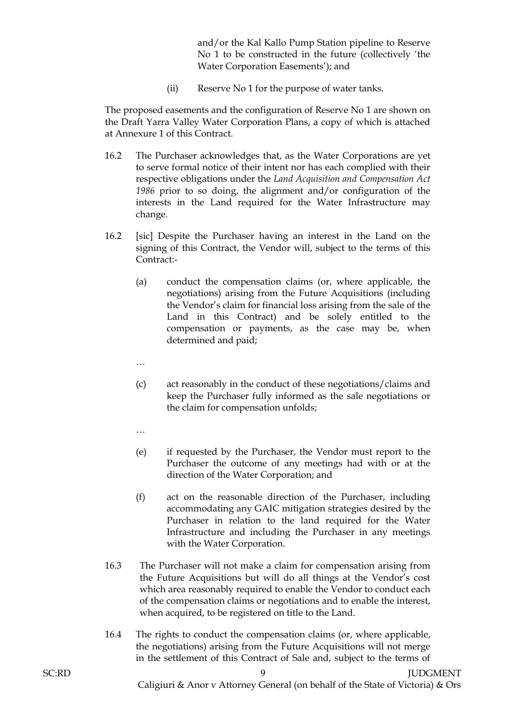and/or the Kal Kallo Pump Station pipeline to Reserve No 1 to be constructed in the future (collectively 'the Water Corporation Easements'); and

(ii) Reserve No 1 for the purpose of water tanks.

The proposed easements and the configuration of Reserve No 1 are shown on the Draft Yarra Valley Water Corporation Plans, a copy of which is attached at Annexure 1 of this Contract.

- 16.2 The Purchaser acknowledges that, as the Water Corporations are yet to serve formal notice of their intent nor has each complied with their respective obligations under the *Land Acquisition and Compensation Act 1986* prior to so doing, the alignment and/or configuration of the interests in the Land required for the Water Infrastructure may change.
- 16.2 [sic] Despite the Purchaser having an interest in the Land on the signing of this Contract, the Vendor will, subject to the terms of this Contract:-
	- (a) conduct the compensation claims (or, where applicable, the negotiations) arising from the Future Acquisitions (including the Vendor's claim for financial loss arising from the sale of the Land in this Contract) and be solely entitled to the compensation or payments, as the case may be, when determined and paid;
	- …
	- (c) act reasonably in the conduct of these negotiations/claims and keep the Purchaser fully informed as the sale negotiations or the claim for compensation unfolds;
	- …
	- (e) if requested by the Purchaser, the Vendor must report to the Purchaser the outcome of any meetings had with or at the direction of the Water Corporation; and
	- (f) act on the reasonable direction of the Purchaser, including accommodating any GAIC mitigation strategies desired by the Purchaser in relation to the land required for the Water Infrastructure and including the Purchaser in any meetings with the Water Corporation.
- 16.3 The Purchaser will not make a claim for compensation arising from the Future Acquisitions but will do all things at the Vendor's cost which area reasonably required to enable the Vendor to conduct each of the compensation claims or negotiations and to enable the interest, when acquired, to be registered on title to the Land.
- 16.4 The rights to conduct the compensation claims (or, where applicable, the negotiations) arising from the Future Acquisitions will not merge in the settlement of this Contract of Sale and, subject to the terms of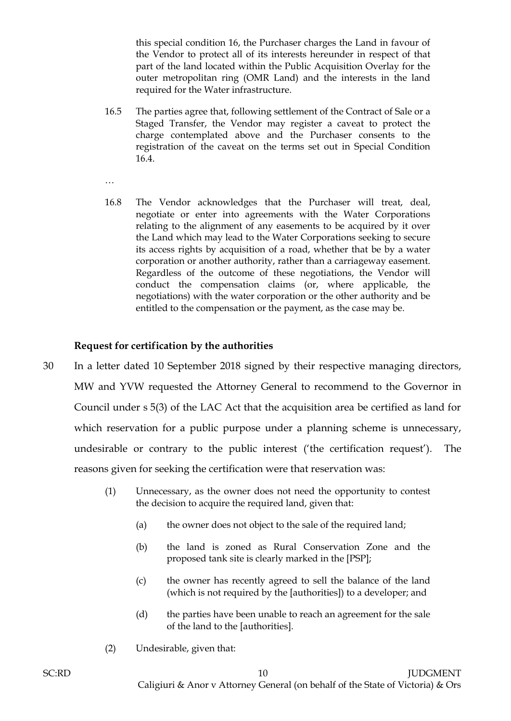this special condition 16, the Purchaser charges the Land in favour of the Vendor to protect all of its interests hereunder in respect of that part of the land located within the Public Acquisition Overlay for the outer metropolitan ring (OMR Land) and the interests in the land required for the Water infrastructure.

- 16.5 The parties agree that, following settlement of the Contract of Sale or a Staged Transfer, the Vendor may register a caveat to protect the charge contemplated above and the Purchaser consents to the registration of the caveat on the terms set out in Special Condition 16.4.
- …
- 16.8 The Vendor acknowledges that the Purchaser will treat, deal, negotiate or enter into agreements with the Water Corporations relating to the alignment of any easements to be acquired by it over the Land which may lead to the Water Corporations seeking to secure its access rights by acquisition of a road, whether that be by a water corporation or another authority, rather than a carriageway easement. Regardless of the outcome of these negotiations, the Vendor will conduct the compensation claims (or, where applicable, the negotiations) with the water corporation or the other authority and be entitled to the compensation or the payment, as the case may be.

## **Request for certification by the authorities**

- 30 In a letter dated 10 September 2018 signed by their respective managing directors, MW and YVW requested the Attorney General to recommend to the Governor in Council under s 5(3) of the LAC Act that the acquisition area be certified as land for which reservation for a public purpose under a planning scheme is unnecessary, undesirable or contrary to the public interest ('the certification request'). The reasons given for seeking the certification were that reservation was:
	- (1) Unnecessary, as the owner does not need the opportunity to contest the decision to acquire the required land, given that:
		- (a) the owner does not object to the sale of the required land;
		- (b) the land is zoned as Rural Conservation Zone and the proposed tank site is clearly marked in the [PSP];
		- (c) the owner has recently agreed to sell the balance of the land (which is not required by the [authorities]) to a developer; and
		- (d) the parties have been unable to reach an agreement for the sale of the land to the [authorities].
	- (2) Undesirable, given that: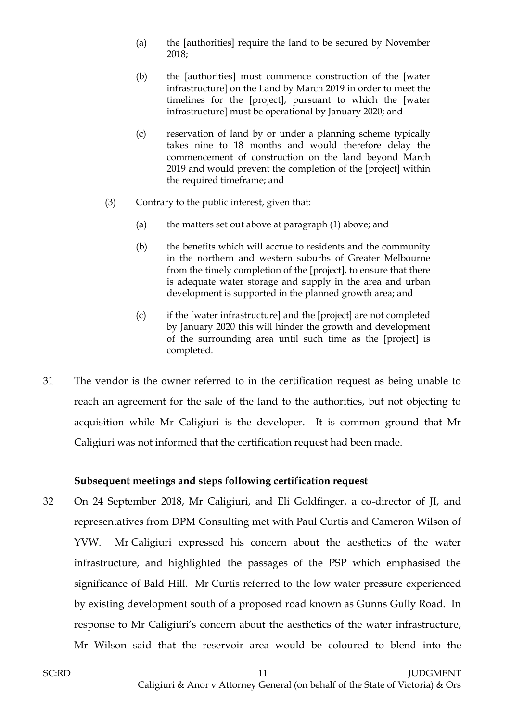- (a) the [authorities] require the land to be secured by November 2018;
- (b) the [authorities] must commence construction of the [water infrastructure] on the Land by March 2019 in order to meet the timelines for the [project], pursuant to which the [water infrastructure] must be operational by January 2020; and
- (c) reservation of land by or under a planning scheme typically takes nine to 18 months and would therefore delay the commencement of construction on the land beyond March 2019 and would prevent the completion of the [project] within the required timeframe; and
- (3) Contrary to the public interest, given that:
	- (a) the matters set out above at paragraph (1) above; and
	- (b) the benefits which will accrue to residents and the community in the northern and western suburbs of Greater Melbourne from the timely completion of the [project], to ensure that there is adequate water storage and supply in the area and urban development is supported in the planned growth area; and
	- (c) if the [water infrastructure] and the [project] are not completed by January 2020 this will hinder the growth and development of the surrounding area until such time as the [project] is completed.
- 31 The vendor is the owner referred to in the certification request as being unable to reach an agreement for the sale of the land to the authorities, but not objecting to acquisition while Mr Caligiuri is the developer. It is common ground that Mr Caligiuri was not informed that the certification request had been made.

## **Subsequent meetings and steps following certification request**

32 On 24 September 2018, Mr Caligiuri, and Eli Goldfinger, a co-director of JI, and representatives from DPM Consulting met with Paul Curtis and Cameron Wilson of YVW. Mr Caligiuri expressed his concern about the aesthetics of the water infrastructure, and highlighted the passages of the PSP which emphasised the significance of Bald Hill. Mr Curtis referred to the low water pressure experienced by existing development south of a proposed road known as Gunns Gully Road. In response to Mr Caligiuri's concern about the aesthetics of the water infrastructure, Mr Wilson said that the reservoir area would be coloured to blend into the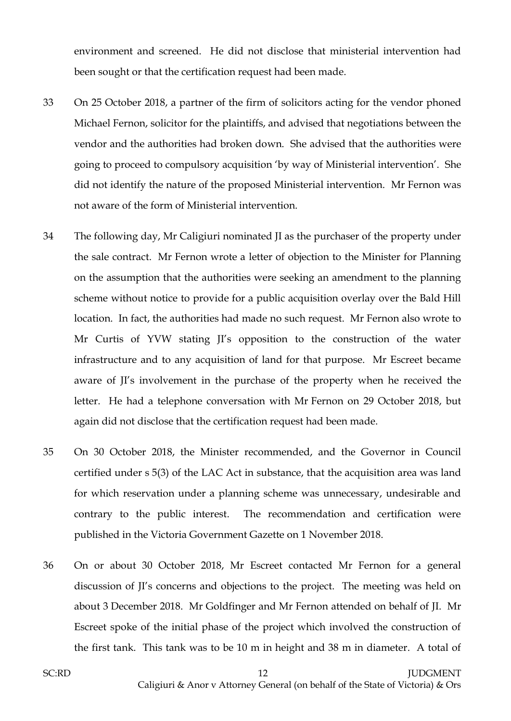environment and screened. He did not disclose that ministerial intervention had been sought or that the certification request had been made.

- 33 On 25 October 2018, a partner of the firm of solicitors acting for the vendor phoned Michael Fernon, solicitor for the plaintiffs, and advised that negotiations between the vendor and the authorities had broken down. She advised that the authorities were going to proceed to compulsory acquisition 'by way of Ministerial intervention'. She did not identify the nature of the proposed Ministerial intervention. Mr Fernon was not aware of the form of Ministerial intervention.
- 34 The following day, Mr Caligiuri nominated JI as the purchaser of the property under the sale contract. Mr Fernon wrote a letter of objection to the Minister for Planning on the assumption that the authorities were seeking an amendment to the planning scheme without notice to provide for a public acquisition overlay over the Bald Hill location. In fact, the authorities had made no such request. Mr Fernon also wrote to Mr Curtis of YVW stating JI's opposition to the construction of the water infrastructure and to any acquisition of land for that purpose. Mr Escreet became aware of JI's involvement in the purchase of the property when he received the letter. He had a telephone conversation with Mr Fernon on 29 October 2018, but again did not disclose that the certification request had been made.
- 35 On 30 October 2018, the Minister recommended, and the Governor in Council certified under s 5(3) of the LAC Act in substance, that the acquisition area was land for which reservation under a planning scheme was unnecessary, undesirable and contrary to the public interest. The recommendation and certification were published in the Victoria Government Gazette on 1 November 2018.
- 36 On or about 30 October 2018, Mr Escreet contacted Mr Fernon for a general discussion of JI's concerns and objections to the project. The meeting was held on about 3 December 2018. Mr Goldfinger and Mr Fernon attended on behalf of JI. Mr Escreet spoke of the initial phase of the project which involved the construction of the first tank. This tank was to be 10 m in height and 38 m in diameter. A total of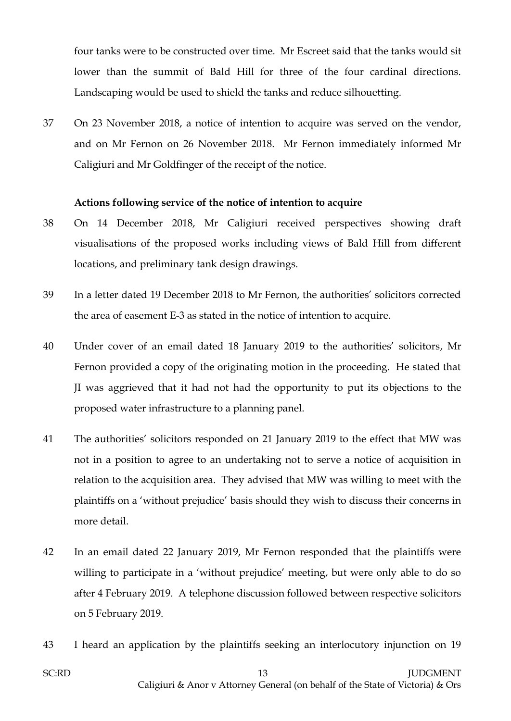four tanks were to be constructed over time. Mr Escreet said that the tanks would sit lower than the summit of Bald Hill for three of the four cardinal directions. Landscaping would be used to shield the tanks and reduce silhouetting.

37 On 23 November 2018, a notice of intention to acquire was served on the vendor, and on Mr Fernon on 26 November 2018. Mr Fernon immediately informed Mr Caligiuri and Mr Goldfinger of the receipt of the notice.

## **Actions following service of the notice of intention to acquire**

- 38 On 14 December 2018, Mr Caligiuri received perspectives showing draft visualisations of the proposed works including views of Bald Hill from different locations, and preliminary tank design drawings.
- 39 In a letter dated 19 December 2018 to Mr Fernon, the authorities' solicitors corrected the area of easement E-3 as stated in the notice of intention to acquire.
- 40 Under cover of an email dated 18 January 2019 to the authorities' solicitors, Mr Fernon provided a copy of the originating motion in the proceeding. He stated that JI was aggrieved that it had not had the opportunity to put its objections to the proposed water infrastructure to a planning panel.
- 41 The authorities' solicitors responded on 21 January 2019 to the effect that MW was not in a position to agree to an undertaking not to serve a notice of acquisition in relation to the acquisition area. They advised that MW was willing to meet with the plaintiffs on a 'without prejudice' basis should they wish to discuss their concerns in more detail.
- 42 In an email dated 22 January 2019, Mr Fernon responded that the plaintiffs were willing to participate in a 'without prejudice' meeting, but were only able to do so after 4 February 2019. A telephone discussion followed between respective solicitors on 5 February 2019.
- 43 I heard an application by the plaintiffs seeking an interlocutory injunction on 19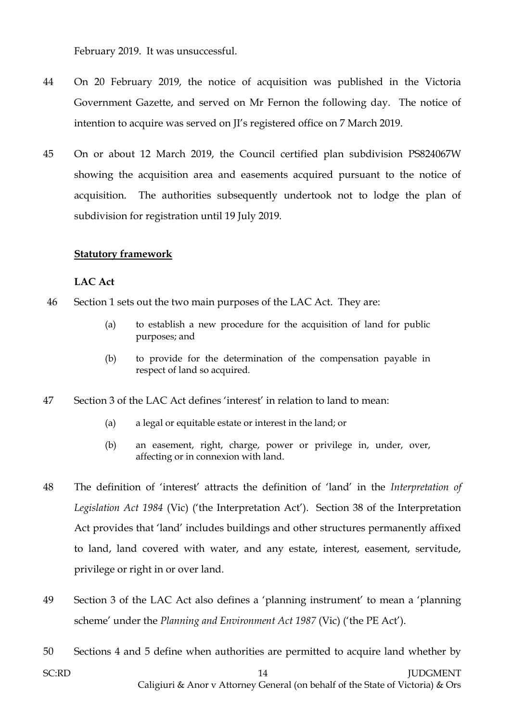February 2019. It was unsuccessful.

- 44 On 20 February 2019, the notice of acquisition was published in the Victoria Government Gazette, and served on Mr Fernon the following day. The notice of intention to acquire was served on JI's registered office on 7 March 2019.
- 45 On or about 12 March 2019, the Council certified plan subdivision PS824067W showing the acquisition area and easements acquired pursuant to the notice of acquisition. The authorities subsequently undertook not to lodge the plan of subdivision for registration until 19 July 2019.

## **Statutory framework**

#### **LAC Act**

- 46 Section 1 sets out the two main purposes of the LAC Act. They are:
	- (a) to establish a new procedure for the acquisition of land for public purposes; and
	- (b) to provide for the determination of the compensation payable in respect of land so acquired.
- 47 Section 3 of the LAC Act defines 'interest' in relation to land to mean:
	- (a) a legal or equitable estate or interest in the land; or
	- (b) an easement, right, charge, power or privilege in, under, over, affecting or in connexion with land.
- 48 The definition of 'interest' attracts the definition of 'land' in the *Interpretation of Legislation Act 1984* (Vic) ('the Interpretation Act'). Section 38 of the Interpretation Act provides that 'land' includes buildings and other structures permanently affixed to land, land covered with water, and any estate, interest, easement, servitude, privilege or right in or over land.
- 49 Section 3 of the LAC Act also defines a 'planning instrument' to mean a 'planning scheme' under the *Planning and Environment Act 1987* (Vic) ('the PE Act').
- 50 Sections 4 and 5 define when authorities are permitted to acquire land whether by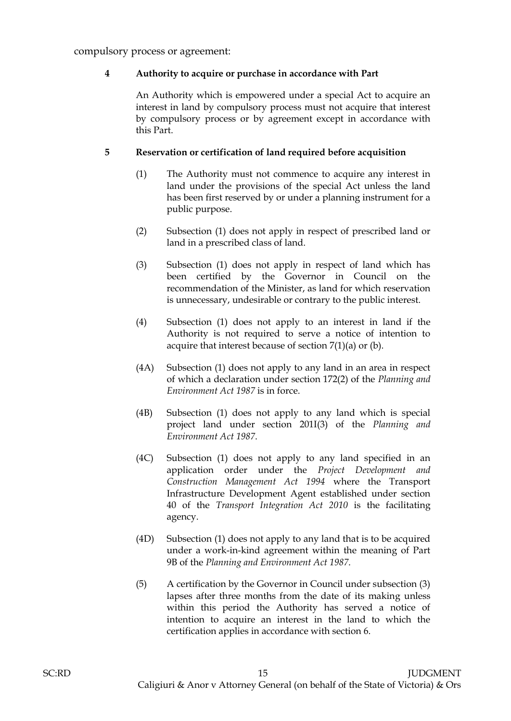compulsory process or agreement:

#### **4 Authority to acquire or purchase in accordance with Part**

An Authority which is empowered under a special Act to acquire an interest in land by compulsory process must not acquire that interest by compulsory process or by agreement except in accordance with this Part.

#### **5 Reservation or certification of land required before acquisition**

- (1) The Authority must not commence to acquire any interest in land under the provisions of the special Act unless the land has been first reserved by or under a planning instrument for a public purpose.
- (2) Subsection (1) does not apply in respect of prescribed land or land in a prescribed class of land.
- (3) Subsection (1) does not apply in respect of land which has been certified by the Governor in Council on the recommendation of the Minister, as land for which reservation is unnecessary, undesirable or contrary to the public interest.
- (4) Subsection (1) does not apply to an interest in land if the Authority is not required to serve a notice of intention to acquire that interest because of section  $7(1)(a)$  or (b).
- (4A) Subsection (1) does not apply to any land in an area in respect of which a declaration under section 172(2) of the *Planning and Environment Act 1987* is in force.
- (4B) Subsection (1) does not apply to any land which is special project land under section 201I(3) of the *Planning and Environment Act 1987*.
- (4C) Subsection (1) does not apply to any land specified in an application order under the *Project Development and Construction Management Act 1994* where the Transport Infrastructure Development Agent established under section 40 of the *Transport Integration Act 2010* is the facilitating agency.
- (4D) Subsection (1) does not apply to any land that is to be acquired under a work-in-kind agreement within the meaning of Part 9B of the *Planning and Environment Act 1987*.
- (5) A certification by the Governor in Council under subsection (3) lapses after three months from the date of its making unless within this period the Authority has served a notice of intention to acquire an interest in the land to which the certification applies in accordance with section 6.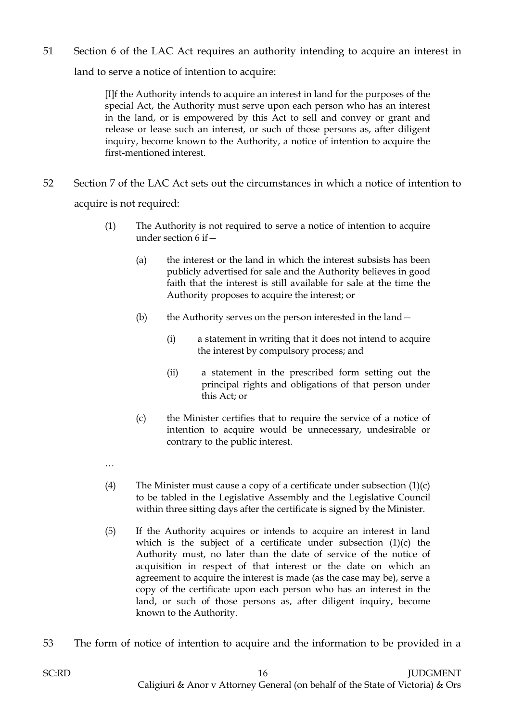51 Section 6 of the LAC Act requires an authority intending to acquire an interest in

land to serve a notice of intention to acquire:

[I]f the Authority intends to acquire an interest in land for the purposes of the special Act, the Authority must serve upon each person who has an interest in the land, or is empowered by this Act to sell and convey or grant and release or lease such an interest, or such of those persons as, after diligent inquiry, become known to the Authority, a notice of intention to acquire the first-mentioned interest.

- 52 Section 7 of the LAC Act sets out the circumstances in which a notice of intention to acquire is not required:
	- (1) The Authority is not required to serve a notice of intention to acquire under section 6 if—
		- (a) the interest or the land in which the interest subsists has been publicly advertised for sale and the Authority believes in good faith that the interest is still available for sale at the time the Authority proposes to acquire the interest; or
		- (b) the Authority serves on the person interested in the land—
			- (i) a statement in writing that it does not intend to acquire the interest by compulsory process; and
			- (ii) a statement in the prescribed form setting out the principal rights and obligations of that person under this Act; or
		- (c) the Minister certifies that to require the service of a notice of intention to acquire would be unnecessary, undesirable or contrary to the public interest.
	- …
	- (4) The Minister must cause a copy of a certificate under subsection  $(1)(c)$ to be tabled in the Legislative Assembly and the Legislative Council within three sitting days after the certificate is signed by the Minister.
	- (5) If the Authority acquires or intends to acquire an interest in land which is the subject of a certificate under subsection  $(1)(c)$  the Authority must, no later than the date of service of the notice of acquisition in respect of that interest or the date on which an agreement to acquire the interest is made (as the case may be), serve a copy of the certificate upon each person who has an interest in the land, or such of those persons as, after diligent inquiry, become known to the Authority.
- 53 The form of notice of intention to acquire and the information to be provided in a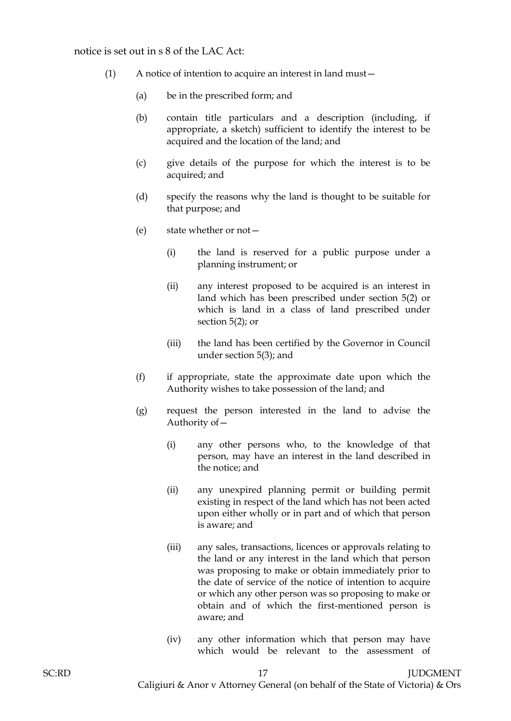#### notice is set out in s 8 of the LAC Act:

- (1) A notice of intention to acquire an interest in land must—
	- (a) be in the prescribed form; and
	- (b) contain title particulars and a description (including, if appropriate, a sketch) sufficient to identify the interest to be acquired and the location of the land; and
	- (c) give details of the purpose for which the interest is to be acquired; and
	- (d) specify the reasons why the land is thought to be suitable for that purpose; and
	- (e) state whether or not—
		- (i) the land is reserved for a public purpose under a planning instrument; or
		- (ii) any interest proposed to be acquired is an interest in land which has been prescribed under section 5(2) or which is land in a class of land prescribed under section 5(2); or
		- (iii) the land has been certified by the Governor in Council under section 5(3); and
	- (f) if appropriate, state the approximate date upon which the Authority wishes to take possession of the land; and
	- (g) request the person interested in the land to advise the Authority of—
		- (i) any other persons who, to the knowledge of that person, may have an interest in the land described in the notice; and
		- (ii) any unexpired planning permit or building permit existing in respect of the land which has not been acted upon either wholly or in part and of which that person is aware; and
		- (iii) any sales, transactions, licences or approvals relating to the land or any interest in the land which that person was proposing to make or obtain immediately prior to the date of service of the notice of intention to acquire or which any other person was so proposing to make or obtain and of which the first-mentioned person is aware; and
		- (iv) any other information which that person may have which would be relevant to the assessment of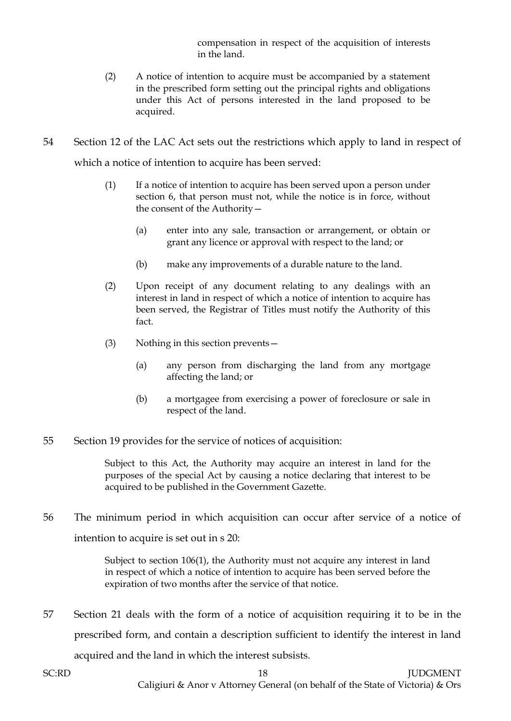compensation in respect of the acquisition of interests in the land.

- (2) A notice of intention to acquire must be accompanied by a statement in the prescribed form setting out the principal rights and obligations under this Act of persons interested in the land proposed to be acquired.
- 54 Section 12 of the LAC Act sets out the restrictions which apply to land in respect of which a notice of intention to acquire has been served:
	- (1) If a notice of intention to acquire has been served upon a person under section 6, that person must not, while the notice is in force, without the consent of the Authority—
		- (a) enter into any sale, transaction or arrangement, or obtain or grant any licence or approval with respect to the land; or
		- (b) make any improvements of a durable nature to the land.
	- (2) Upon receipt of any document relating to any dealings with an interest in land in respect of which a notice of intention to acquire has been served, the Registrar of Titles must notify the Authority of this fact.
	- (3) Nothing in this section prevents—
		- (a) any person from discharging the land from any mortgage affecting the land; or
		- (b) a mortgagee from exercising a power of foreclosure or sale in respect of the land.
- 55 Section 19 provides for the service of notices of acquisition:

Subject to this Act, the Authority may acquire an interest in land for the purposes of the special Act by causing a notice declaring that interest to be acquired to be published in the Government Gazette.

56 The minimum period in which acquisition can occur after service of a notice of intention to acquire is set out in s 20:

> Subject to section 106(1), the Authority must not acquire any interest in land in respect of which a notice of intention to acquire has been served before the expiration of two months after the service of that notice.

57 Section 21 deals with the form of a notice of acquisition requiring it to be in the prescribed form, and contain a description sufficient to identify the interest in land acquired and the land in which the interest subsists.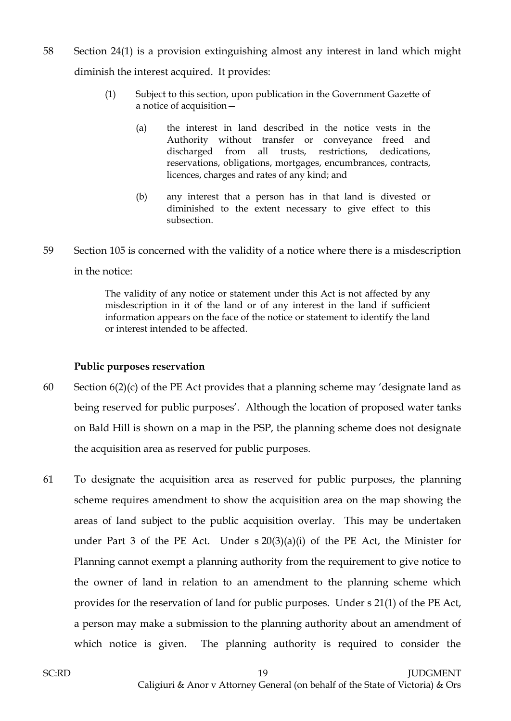- 58 Section 24(1) is a provision extinguishing almost any interest in land which might diminish the interest acquired. It provides:
	- (1) Subject to this section, upon publication in the Government Gazette of a notice of acquisition—
		- (a) the interest in land described in the notice vests in the Authority without transfer or conveyance freed and discharged from all trusts, restrictions, dedications, reservations, obligations, mortgages, encumbrances, contracts, licences, charges and rates of any kind; and
		- (b) any interest that a person has in that land is divested or diminished to the extent necessary to give effect to this subsection.
- 59 Section 105 is concerned with the validity of a notice where there is a misdescription in the notice:

The validity of any notice or statement under this Act is not affected by any misdescription in it of the land or of any interest in the land if sufficient information appears on the face of the notice or statement to identify the land or interest intended to be affected.

# **Public purposes reservation**

- 60 Section  $6(2)(c)$  of the PE Act provides that a planning scheme may 'designate land as being reserved for public purposes'. Although the location of proposed water tanks on Bald Hill is shown on a map in the PSP, the planning scheme does not designate the acquisition area as reserved for public purposes.
- 61 To designate the acquisition area as reserved for public purposes, the planning scheme requires amendment to show the acquisition area on the map showing the areas of land subject to the public acquisition overlay. This may be undertaken under Part 3 of the PE Act. Under  $s \ 20(3)(a)(i)$  of the PE Act, the Minister for Planning cannot exempt a planning authority from the requirement to give notice to the owner of land in relation to an amendment to the planning scheme which provides for the reservation of land for public purposes. Under s 21(1) of the PE Act, a person may make a submission to the planning authority about an amendment of which notice is given. The planning authority is required to consider the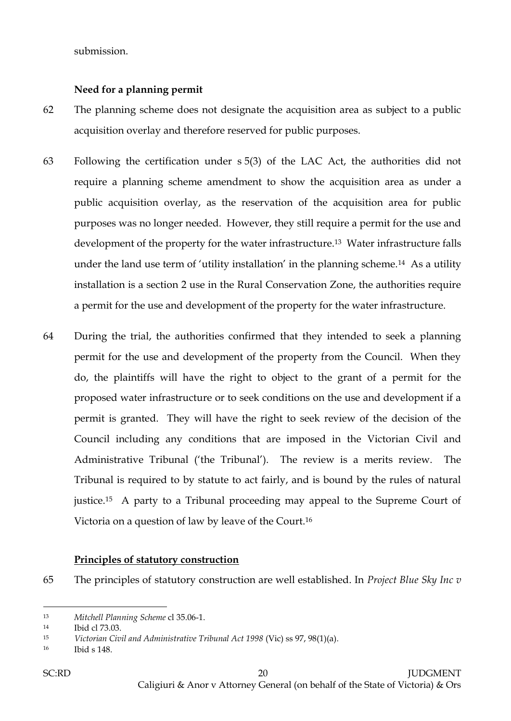submission.

#### **Need for a planning permit**

- 62 The planning scheme does not designate the acquisition area as subject to a public acquisition overlay and therefore reserved for public purposes.
- 63 Following the certification under s 5(3) of the LAC Act, the authorities did not require a planning scheme amendment to show the acquisition area as under a public acquisition overlay, as the reservation of the acquisition area for public purposes was no longer needed. However, they still require a permit for the use and development of the property for the water infrastructure.13 Water infrastructure falls under the land use term of 'utility installation' in the planning scheme.<sup>14</sup> As a utility installation is a section 2 use in the Rural Conservation Zone, the authorities require a permit for the use and development of the property for the water infrastructure.
- 64 During the trial, the authorities confirmed that they intended to seek a planning permit for the use and development of the property from the Council. When they do, the plaintiffs will have the right to object to the grant of a permit for the proposed water infrastructure or to seek conditions on the use and development if a permit is granted. They will have the right to seek review of the decision of the Council including any conditions that are imposed in the Victorian Civil and Administrative Tribunal ('the Tribunal'). The review is a merits review. The Tribunal is required to by statute to act fairly, and is bound by the rules of natural justice.15 A party to a Tribunal proceeding may appeal to the Supreme Court of Victoria on a question of law by leave of the Court.<sup>16</sup>

#### **Principles of statutory construction**

65 The principles of statutory construction are well established. In *Project Blue Sky Inc v* 

 $\overline{a}$ <sup>13</sup> *Mitchell Planning Scheme* cl 35.06-1.

<sup>14</sup> Ibid cl 73.03.

<sup>15</sup> *Victorian Civil and Administrative Tribunal Act 1998* (Vic) ss 97, 98(1)(a).

<sup>16</sup> Ibid s 148.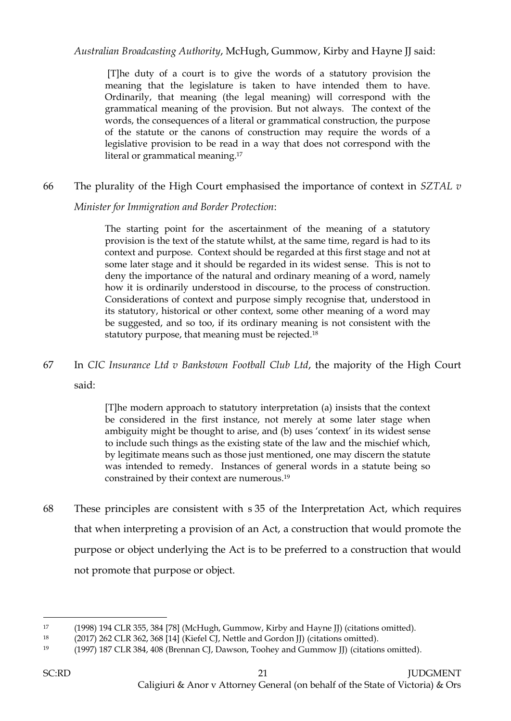*Australian Broadcasting Authority*, McHugh, Gummow, Kirby and Hayne JJ said:

[T]he duty of a court is to give the words of a statutory provision the meaning that the legislature is taken to have intended them to have. Ordinarily, that meaning (the legal meaning) will correspond with the grammatical meaning of the provision. But not always. The context of the words, the consequences of a literal or grammatical construction, the purpose of the statute or the canons of construction may require the words of a legislative provision to be read in a way that does not correspond with the literal or grammatical meaning.<sup>17</sup>

## 66 The plurality of the High Court emphasised the importance of context in *SZTAL v*

*Minister for Immigration and Border Protection*:

The starting point for the ascertainment of the meaning of a statutory provision is the text of the statute whilst, at the same time, regard is had to its context and purpose. Context should be regarded at this first stage and not at some later stage and it should be regarded in its widest sense. This is not to deny the importance of the natural and ordinary meaning of a word, namely how it is ordinarily understood in discourse, to the process of construction. Considerations of context and purpose simply recognise that, understood in its statutory, historical or other context, some other meaning of a word may be suggested, and so too, if its ordinary meaning is not consistent with the statutory purpose, that meaning must be rejected.<sup>18</sup>

67 In *CIC Insurance Ltd v Bankstown Football Club Ltd*, the majority of the High Court

said:

[T]he modern approach to statutory interpretation (a) insists that the context be considered in the first instance, not merely at some later stage when ambiguity might be thought to arise, and (b) uses 'context' in its widest sense to include such things as the existing state of the law and the mischief which, by legitimate means such as those just mentioned, one may discern the statute was intended to remedy. Instances of general words in a statute being so constrained by their context are numerous.<sup>19</sup>

68 These principles are consistent with s 35 of the Interpretation Act, which requires that when interpreting a provision of an Act, a construction that would promote the purpose or object underlying the Act is to be preferred to a construction that would not promote that purpose or object.

<sup>17</sup> [\(1998\) 194 CLR 355,](http://www.austlii.edu.au/cgi-bin/LawCite?cit=%281998%29%20194%20CLR%20355) 384 [78] (McHugh, Gummow, Kirby and Hayne JJ) (citations omitted).

<sup>18</sup> (2017) [262 CLR 362, 368 \[14\]](http://www.austlii.edu.au/cgi-bin/LawCite?cit=%282017%29%2091%20ALJR%20936) (Kiefel CJ, Nettle and Gordon JJ) (citations omitted).

<sup>19</sup> (1997) 187 CLR 384, 408 (Brennan CJ, Dawson, Toohey and Gummow JJ) (citations omitted).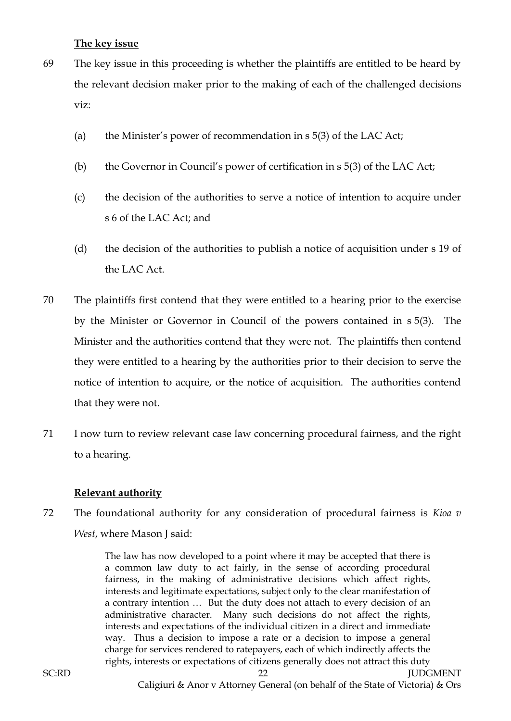## **The key issue**

- 69 The key issue in this proceeding is whether the plaintiffs are entitled to be heard by the relevant decision maker prior to the making of each of the challenged decisions viz:
	- (a) the Minister's power of recommendation in s 5(3) of the LAC Act;
	- (b) the Governor in Council's power of certification in s 5(3) of the LAC Act;
	- (c) the decision of the authorities to serve a notice of intention to acquire under s 6 of the LAC Act; and
	- (d) the decision of the authorities to publish a notice of acquisition under s 19 of the LAC Act.
- 70 The plaintiffs first contend that they were entitled to a hearing prior to the exercise by the Minister or Governor in Council of the powers contained in s 5(3). The Minister and the authorities contend that they were not. The plaintiffs then contend they were entitled to a hearing by the authorities prior to their decision to serve the notice of intention to acquire, or the notice of acquisition. The authorities contend that they were not.
- 71 I now turn to review relevant case law concerning procedural fairness, and the right to a hearing.

## **Relevant authority**

72 The foundational authority for any consideration of procedural fairness is *Kioa v West*, where Mason J said:

> The law has now developed to a point where it may be accepted that there is a common law duty to act fairly, in the sense of according procedural fairness, in the making of administrative decisions which affect rights, interests and legitimate expectations, subject only to the clear manifestation of a contrary intention … But the duty does not attach to every decision of an administrative character. Many such decisions do not affect the rights, interests and expectations of the individual citizen in a direct and immediate way. Thus a decision to impose a rate or a decision to impose a general charge for services rendered to ratepayers, each of which indirectly affects the rights, interests or expectations of citizens generally does not attract this duty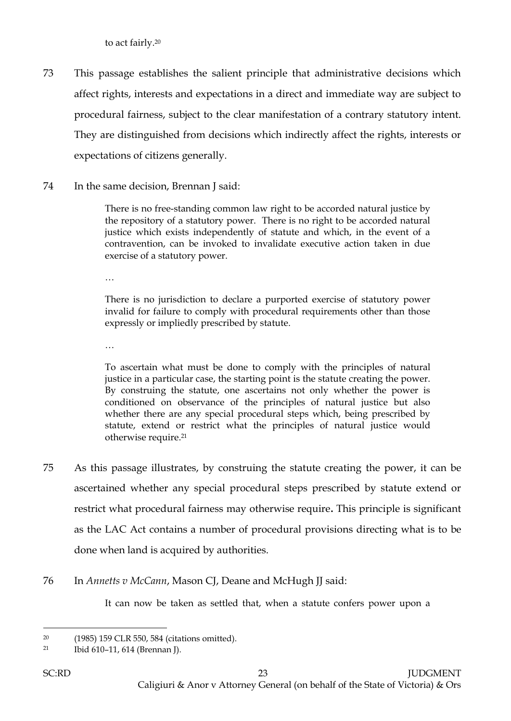to act fairly.<sup>20</sup>

- 73 This passage establishes the salient principle that administrative decisions which affect rights, interests and expectations in a direct and immediate way are subject to procedural fairness, subject to the clear manifestation of a contrary statutory intent. They are distinguished from decisions which indirectly affect the rights, interests or expectations of citizens generally.
- 74 In the same decision, Brennan J said:

There is no free-standing common law right to be accorded natural justice by the repository of a statutory power. There is no right to be accorded natural justice which exists independently of statute and which, in the event of a contravention, can be invoked to invalidate executive action taken in due exercise of a statutory power.

…

There is no jurisdiction to declare a purported exercise of statutory power invalid for failure to comply with procedural requirements other than those expressly or impliedly prescribed by statute.

…

To ascertain what must be done to comply with the principles of natural justice in a particular case, the starting point is the statute creating the power. By construing the statute, one ascertains not only whether the power is conditioned on observance of the principles of natural justice but also whether there are any special procedural steps which, being prescribed by statute, extend or restrict what the principles of natural justice would otherwise require.<sup>21</sup>

- 75 As this passage illustrates, by construing the statute creating the power, it can be ascertained whether any special procedural steps prescribed by statute extend or restrict what procedural fairness may otherwise require**.** This principle is significant as the LAC Act contains a number of procedural provisions directing what is to be done when land is acquired by authorities.
- 76 In *Annetts v McCann*, Mason CJ, Deane and McHugh JJ said:

It can now be taken as settled that, when a statute confers power upon a

 $\overline{a}$ <sup>20</sup> (1985) 159 CLR 550, 584 (citations omitted).

<sup>21</sup> Ibid 610–11, 614 (Brennan J).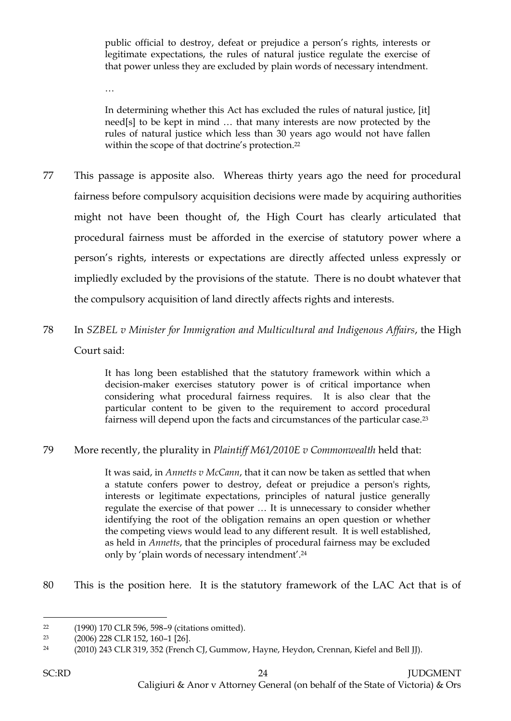public official to destroy, defeat or prejudice a person's rights, interests or legitimate expectations, the rules of natural justice regulate the exercise of that power unless they are excluded by plain words of necessary intendment.

…

In determining whether this Act has excluded the rules of natural justice, [it] need[s] to be kept in mind … that many interests are now protected by the rules of natural justice which less than 30 years ago would not have fallen within the scope of that doctrine's protection. 22

- 77 This passage is apposite also. Whereas thirty years ago the need for procedural fairness before compulsory acquisition decisions were made by acquiring authorities might not have been thought of, the High Court has clearly articulated that procedural fairness must be afforded in the exercise of statutory power where a person's rights, interests or expectations are directly affected unless expressly or impliedly excluded by the provisions of the statute. There is no doubt whatever that the compulsory acquisition of land directly affects rights and interests.
- 78 In *SZBEL v Minister for Immigration and Multicultural and Indigenous Affairs*, the High Court said:

It has long been established that the statutory framework within which a decision-maker exercises statutory power is of critical importance when considering what procedural fairness requires. It is also clear that the particular content to be given to the requirement to accord procedural fairness will depend upon the facts and circumstances of the particular case.<sup>23</sup>

79 More recently, the plurality in *Plaintiff M61/2010E v Commonwealth* held that:

It was said, in *Annetts v McCann*, that it can now be taken as settled that when a statute confers power to destroy, defeat or prejudice a person's rights, interests or legitimate expectations, principles of natural justice generally regulate the exercise of that power … It is unnecessary to consider whether identifying the root of the obligation remains an open question or whether the competing views would lead to any different result. It is well established, as held in *Annetts*, that the principles of procedural fairness may be excluded only by 'plain words of necessary intendment'. 24

80 This is the position here. It is the statutory framework of the LAC Act that is of

<sup>22</sup> (1990) 170 CLR 596, 598–9 (citations omitted).

<sup>23</sup> (2006) 228 CLR 152, 160–1 [26].

<sup>24</sup> (2010) 243 CLR 319, 352 (French CJ, Gummow, Hayne, Heydon, Crennan, Kiefel and Bell JJ).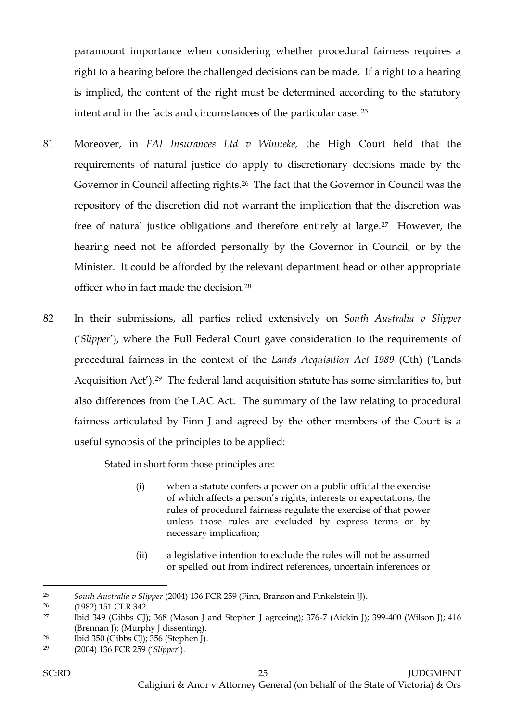paramount importance when considering whether procedural fairness requires a right to a hearing before the challenged decisions can be made. If a right to a hearing is implied, the content of the right must be determined according to the statutory intent and in the facts and circumstances of the particular case. <sup>25</sup>

- 81 Moreover, in *FAI Insurances Ltd v Winneke,* the High Court held that the requirements of natural justice do apply to discretionary decisions made by the Governor in Council affecting rights.26 The fact that the Governor in Council was the repository of the discretion did not warrant the implication that the discretion was free of natural justice obligations and therefore entirely at large.27 However, the hearing need not be afforded personally by the Governor in Council, or by the Minister. It could be afforded by the relevant department head or other appropriate officer who in fact made the decision.<sup>28</sup>
- 82 In their submissions, all parties relied extensively on *South Australia v Slipper* ('*Slipper*'), where the Full Federal Court gave consideration to the requirements of procedural fairness in the context of the *Lands Acquisition Act 1989* (Cth) (*'*Lands Acquisition Act').29 The federal land acquisition statute has some similarities to, but also differences from the LAC Act. The summary of the law relating to procedural fairness articulated by Finn J and agreed by the other members of the Court is a useful synopsis of the principles to be applied:

Stated in short form those principles are:

- (i) when a statute confers a power on a public official the exercise of which affects a person's rights, interests or expectations, the rules of procedural fairness regulate the exercise of that power unless those rules are excluded by express terms or by necessary implication;
- (ii) a legislative intention to exclude the rules will not be assumed or spelled out from indirect references, uncertain inferences or

 $\overline{a}$ <sup>25</sup> *South Australia v Slipper* (2004) 136 FCR 259 (Finn, Branson and Finkelstein JJ).

<sup>26</sup> (1982) 151 CLR 342.

<sup>&</sup>lt;sup>27</sup> Ibid 349 (Gibbs CJ); 368 (Mason J and Stephen J agreeing); 376-7 (Aickin J); 399-400 (Wilson J); 416 (Brennan J); (Murphy J dissenting).

<sup>28</sup> Ibid 350 (Gibbs CJ); 356 (Stephen J).

<sup>29</sup> (2004) 136 FCR 259 ('*Slipper*').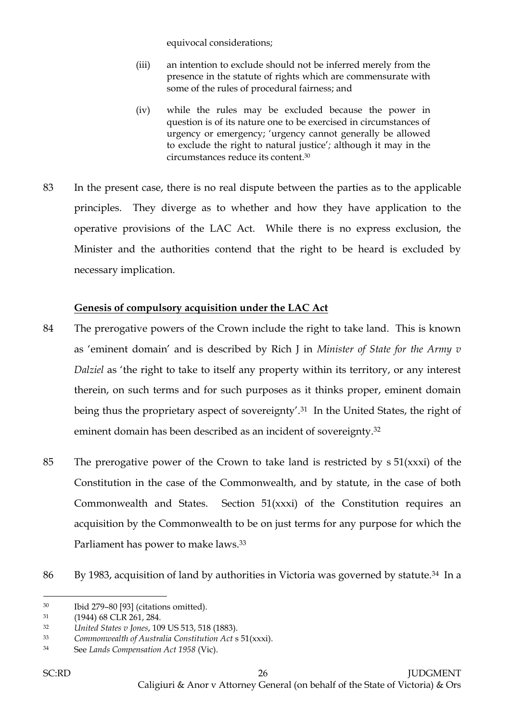equivocal considerations;

- (iii) an intention to exclude should not be inferred merely from the presence in the statute of rights which are commensurate with some of the rules of procedural fairness; and
- (iv) while the rules may be excluded because the power in question is of its nature one to be exercised in circumstances of urgency or emergency; 'urgency cannot generally be allowed to exclude the right to natural justice'*;* although it may in the circumstances reduce its content. 30
- 83 In the present case, there is no real dispute between the parties as to the applicable principles. They diverge as to whether and how they have application to the operative provisions of the LAC Act. While there is no express exclusion, the Minister and the authorities contend that the right to be heard is excluded by necessary implication.

# **Genesis of compulsory acquisition under the LAC Act**

- 84 The prerogative powers of the Crown include the right to take land. This is known as 'eminent domain' and is described by Rich J in *Minister of State for the Army v Dalziel* as 'the right to take to itself any property within its territory, or any interest therein, on such terms and for such purposes as it thinks proper, eminent domain being thus the proprietary aspect of sovereignty'.<sup>31</sup> In the United States, the right of eminent domain has been described as an incident of sovereignty.<sup>32</sup>
- 85 The prerogative power of the Crown to take land is restricted by s 51(xxxi) of the Constitution in the case of the Commonwealth, and by statute, in the case of both Commonwealth and States. Section 51(xxxi) of the Constitution requires an acquisition by the Commonwealth to be on just terms for any purpose for which the Parliament has power to make laws.<sup>33</sup>
- 86 By 1983, acquisition of land by authorities in Victoria was governed by statute.<sup>34</sup> In a

<sup>30</sup> Ibid 279–80 [93] (citations omitted).

<sup>31</sup> (1944) 68 CLR 261, 284.

<sup>32</sup> *United States v Jones*, 109 US 513, 518 (1883).

<sup>33</sup> *Commonwealth of Australia Constitution Act* s 51(xxxi).

<sup>34</sup> See *Lands Compensation Act 1958* (Vic).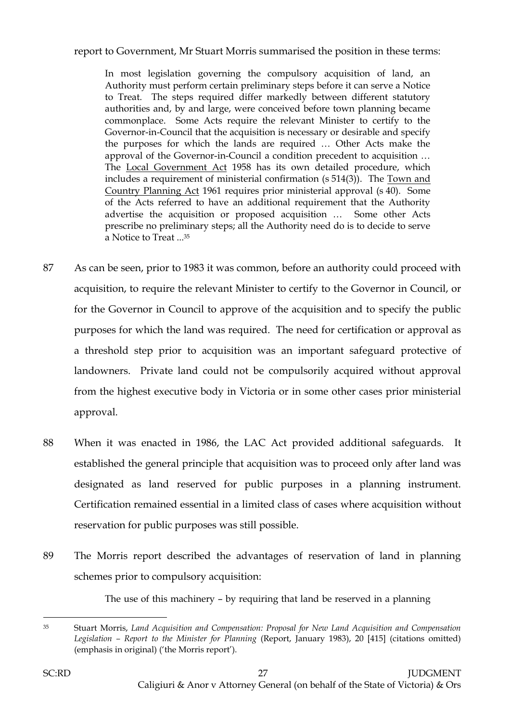report to Government, Mr Stuart Morris summarised the position in these terms:

In most legislation governing the compulsory acquisition of land, an Authority must perform certain preliminary steps before it can serve a Notice to Treat. The steps required differ markedly between different statutory authorities and, by and large, were conceived before town planning became commonplace. Some Acts require the relevant Minister to certify to the Governor-in-Council that the acquisition is necessary or desirable and specify the purposes for which the lands are required … Other Acts make the approval of the Governor-in-Council a condition precedent to acquisition … The Local Government Act 1958 has its own detailed procedure, which includes a requirement of ministerial confirmation (s 514(3)). The Town and Country Planning Act 1961 requires prior ministerial approval (s 40). Some of the Acts referred to have an additional requirement that the Authority advertise the acquisition or proposed acquisition … Some other Acts prescribe no preliminary steps; all the Authority need do is to decide to serve a Notice to Treat ...<sup>35</sup>

- 87 As can be seen, prior to 1983 it was common, before an authority could proceed with acquisition, to require the relevant Minister to certify to the Governor in Council, or for the Governor in Council to approve of the acquisition and to specify the public purposes for which the land was required. The need for certification or approval as a threshold step prior to acquisition was an important safeguard protective of landowners. Private land could not be compulsorily acquired without approval from the highest executive body in Victoria or in some other cases prior ministerial approval.
- 88 When it was enacted in 1986, the LAC Act provided additional safeguards. It established the general principle that acquisition was to proceed only after land was designated as land reserved for public purposes in a planning instrument. Certification remained essential in a limited class of cases where acquisition without reservation for public purposes was still possible.
- 89 The Morris report described the advantages of reservation of land in planning schemes prior to compulsory acquisition:

The use of this machinery – by requiring that land be reserved in a planning

<sup>35</sup> Stuart Morris, *Land Acquisition and Compensation: Proposal for New Land Acquisition and Compensation Legislation – Report to the Minister for Planning* (Report, January 1983), 20 [415] (citations omitted) (emphasis in original) ('the Morris report').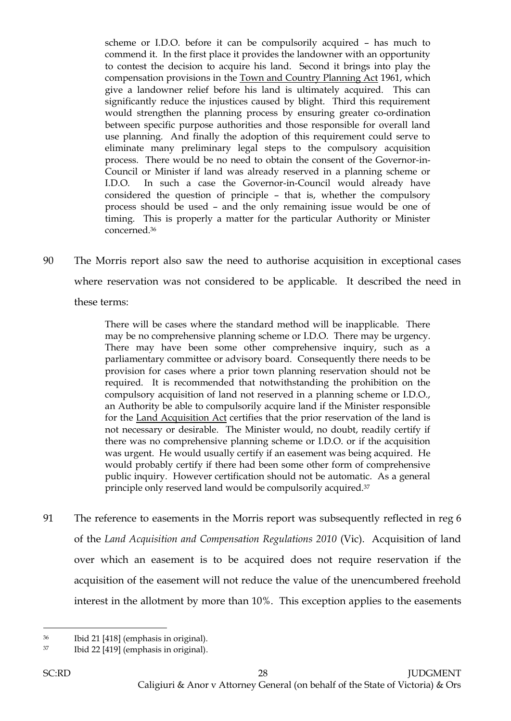scheme or I.D.O. before it can be compulsorily acquired – has much to commend it. In the first place it provides the landowner with an opportunity to contest the decision to acquire his land. Second it brings into play the compensation provisions in the Town and Country Planning Act 1961, which give a landowner relief before his land is ultimately acquired. This can significantly reduce the injustices caused by blight. Third this requirement would strengthen the planning process by ensuring greater co-ordination between specific purpose authorities and those responsible for overall land use planning. And finally the adoption of this requirement could serve to eliminate many preliminary legal steps to the compulsory acquisition process. There would be no need to obtain the consent of the Governor-in-Council or Minister if land was already reserved in a planning scheme or I.D.O. In such a case the Governor-in-Council would already have considered the question of principle – that is, whether the compulsory process should be used – and the only remaining issue would be one of timing. This is properly a matter for the particular Authority or Minister concerned.<sup>36</sup>

90 The Morris report also saw the need to authorise acquisition in exceptional cases where reservation was not considered to be applicable. It described the need in these terms:

There will be cases where the standard method will be inapplicable. There may be no comprehensive planning scheme or I.D.O. There may be urgency. There may have been some other comprehensive inquiry, such as a parliamentary committee or advisory board. Consequently there needs to be provision for cases where a prior town planning reservation should not be required. It is recommended that notwithstanding the prohibition on the compulsory acquisition of land not reserved in a planning scheme or I.D.O., an Authority be able to compulsorily acquire land if the Minister responsible for the Land Acquisition Act certifies that the prior reservation of the land is not necessary or desirable. The Minister would, no doubt, readily certify if there was no comprehensive planning scheme or I.D.O. or if the acquisition was urgent. He would usually certify if an easement was being acquired. He would probably certify if there had been some other form of comprehensive public inquiry. However certification should not be automatic. As a general principle only reserved land would be compulsorily acquired.<sup>37</sup>

91 The reference to easements in the Morris report was subsequently reflected in reg 6 of the *Land Acquisition and Compensation Regulations 2010* (Vic). Acquisition of land over which an easement is to be acquired does not require reservation if the acquisition of the easement will not reduce the value of the unencumbered freehold interest in the allotment by more than 10%. This exception applies to the easements

<sup>36</sup> Ibid 21 [418] (emphasis in original).

<sup>37</sup> Ibid 22 [419] (emphasis in original).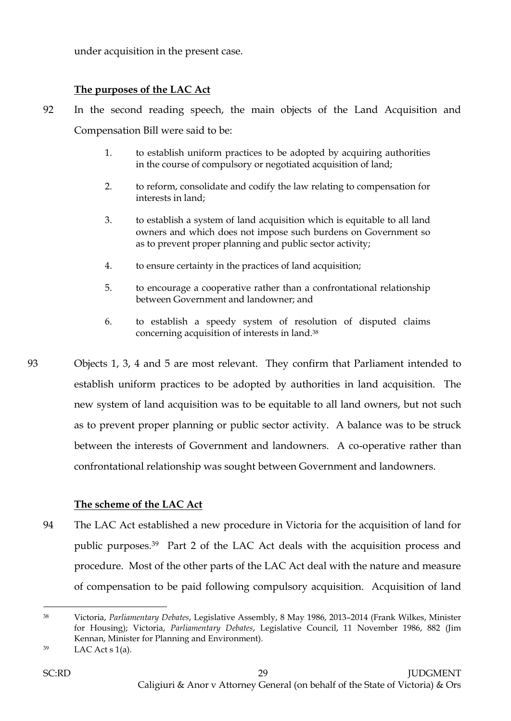under acquisition in the present case.

## **The purposes of the LAC Act**

- 92 In the second reading speech, the main objects of the Land Acquisition and Compensation Bill were said to be:
	- 1. to establish uniform practices to be adopted by acquiring authorities in the course of compulsory or negotiated acquisition of land;
	- 2. to reform, consolidate and codify the law relating to compensation for interests in land;
	- 3. to establish a system of land acquisition which is equitable to all land owners and which does not impose such burdens on Government so as to prevent proper planning and public sector activity;
	- 4. to ensure certainty in the practices of land acquisition;
	- 5. to encourage a cooperative rather than a confrontational relationship between Government and landowner; and
	- 6. to establish a speedy system of resolution of disputed claims concerning acquisition of interests in land.<sup>38</sup>
- 93 Objects 1, 3, 4 and 5 are most relevant. They confirm that Parliament intended to establish uniform practices to be adopted by authorities in land acquisition. The new system of land acquisition was to be equitable to all land owners, but not such as to prevent proper planning or public sector activity. A balance was to be struck between the interests of Government and landowners. A co-operative rather than confrontational relationship was sought between Government and landowners.

## **The scheme of the LAC Act**

94 The LAC Act established a new procedure in Victoria for the acquisition of land for public purposes.39 Part 2 of the LAC Act deals with the acquisition process and procedure. Most of the other parts of the LAC Act deal with the nature and measure of compensation to be paid following compulsory acquisition. Acquisition of land

<sup>38</sup> Victoria, *Parliamentary Debates*, Legislative Assembly, 8 May 1986, 2013–2014 (Frank Wilkes, Minister for Housing); Victoria, *Parliamentary Debates*, Legislative Council, 11 November 1986, 882 (Jim Kennan, Minister for Planning and Environment).

 $39$  LAC Act s 1(a).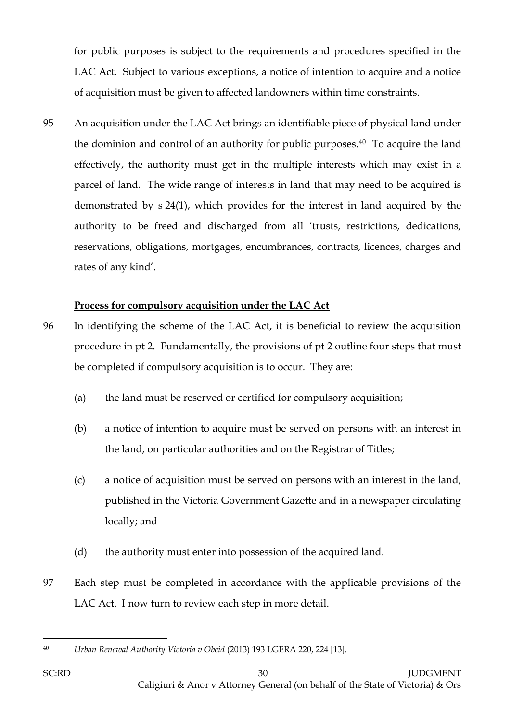for public purposes is subject to the requirements and procedures specified in the LAC Act. Subject to various exceptions, a notice of intention to acquire and a notice of acquisition must be given to affected landowners within time constraints.

95 An acquisition under the LAC Act brings an identifiable piece of physical land under the dominion and control of an authority for public purposes.40 To acquire the land effectively, the authority must get in the multiple interests which may exist in a parcel of land. The wide range of interests in land that may need to be acquired is demonstrated by s 24(1), which provides for the interest in land acquired by the authority to be freed and discharged from all 'trusts, restrictions, dedications, reservations, obligations, mortgages, encumbrances, contracts, licences, charges and rates of any kind'.

# **Process for compulsory acquisition under the LAC Act**

- 96 In identifying the scheme of the LAC Act, it is beneficial to review the acquisition procedure in pt 2. Fundamentally, the provisions of pt 2 outline four steps that must be completed if compulsory acquisition is to occur. They are:
	- (a) the land must be reserved or certified for compulsory acquisition;
	- (b) a notice of intention to acquire must be served on persons with an interest in the land, on particular authorities and on the Registrar of Titles;
	- (c) a notice of acquisition must be served on persons with an interest in the land, published in the Victoria Government Gazette and in a newspaper circulating locally; and
	- (d) the authority must enter into possession of the acquired land.
- 97 Each step must be completed in accordance with the applicable provisions of the LAC Act. I now turn to review each step in more detail.

 $\overline{a}$ <sup>40</sup> *Urban Renewal Authority Victoria v Obeid* (2013) 193 LGERA 220, 224 [13].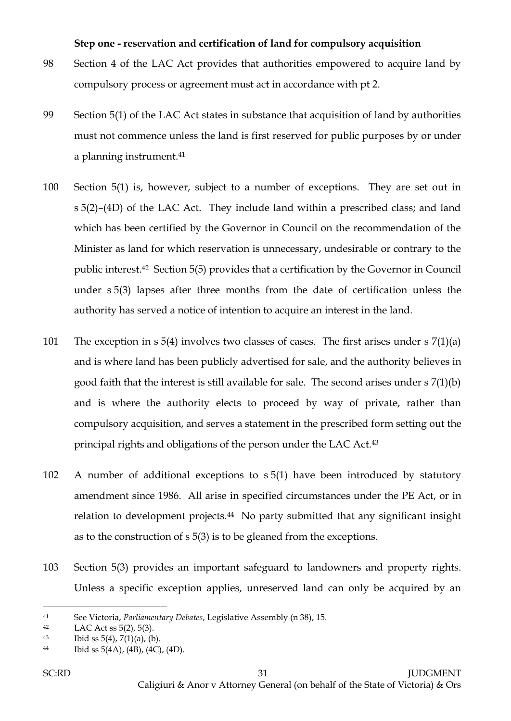#### **Step one - reservation and certification of land for compulsory acquisition**

- 98 Section 4 of the LAC Act provides that authorities empowered to acquire land by compulsory process or agreement must act in accordance with pt 2.
- 99 Section 5(1) of the LAC Act states in substance that acquisition of land by authorities must not commence unless the land is first reserved for public purposes by or under a planning instrument.<sup>41</sup>
- 100 Section 5(1) is, however, subject to a number of exceptions. They are set out in s 5(2)–(4D) of the LAC Act. They include land within a prescribed class; and land which has been certified by the Governor in Council on the recommendation of the Minister as land for which reservation is unnecessary, undesirable or contrary to the public interest.42 Section 5(5) provides that a certification by the Governor in Council under s 5(3) lapses after three months from the date of certification unless the authority has served a notice of intention to acquire an interest in the land.
- 101 The exception in s 5(4) involves two classes of cases. The first arises under s 7(1)(a) and is where land has been publicly advertised for sale, and the authority believes in good faith that the interest is still available for sale. The second arises under s 7(1)(b) and is where the authority elects to proceed by way of private, rather than compulsory acquisition, and serves a statement in the prescribed form setting out the principal rights and obligations of the person under the LAC Act.<sup>43</sup>
- 102 A number of additional exceptions to s 5(1) have been introduced by statutory amendment since 1986. All arise in specified circumstances under the PE Act, or in relation to development projects.<sup>44</sup> No party submitted that any significant insight as to the construction of s 5(3) is to be gleaned from the exceptions.
- 103 Section 5(3) provides an important safeguard to landowners and property rights. Unless a specific exception applies, unreserved land can only be acquired by an

<sup>41</sup> See Victoria, *Parliamentary Debates*, Legislative Assembly (n 38), 15.

<sup>42</sup> LAC Act ss 5(2), 5(3).

<sup>43</sup> Ibid ss  $5(4)$ ,  $7(1)(a)$ ,  $(b)$ .

<sup>44</sup> Ibid ss  $5(4A)$ ,  $(4B)$ ,  $(4C)$ ,  $(4D)$ .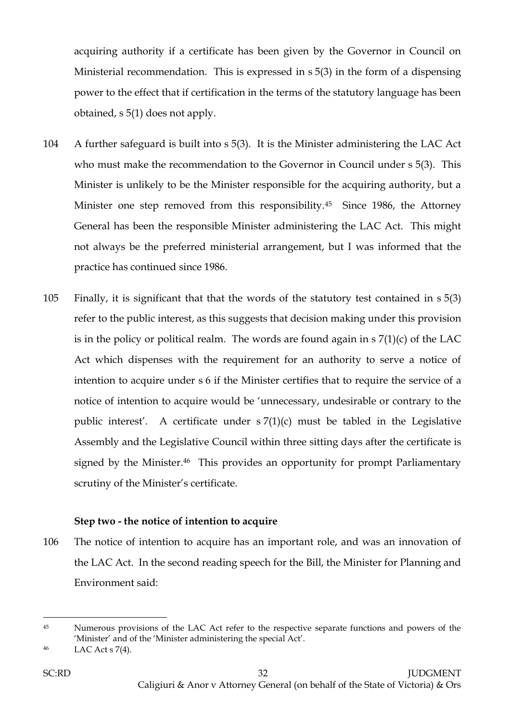acquiring authority if a certificate has been given by the Governor in Council on Ministerial recommendation. This is expressed in s 5(3) in the form of a dispensing power to the effect that if certification in the terms of the statutory language has been obtained, s 5(1) does not apply.

- 104 A further safeguard is built into s 5(3). It is the Minister administering the LAC Act who must make the recommendation to the Governor in Council under s 5(3). This Minister is unlikely to be the Minister responsible for the acquiring authority, but a Minister one step removed from this responsibility.45 Since 1986, the Attorney General has been the responsible Minister administering the LAC Act. This might not always be the preferred ministerial arrangement, but I was informed that the practice has continued since 1986.
- 105 Finally, it is significant that that the words of the statutory test contained in s 5(3) refer to the public interest, as this suggests that decision making under this provision is in the policy or political realm. The words are found again in  $s \, 7(1)(c)$  of the LAC Act which dispenses with the requirement for an authority to serve a notice of intention to acquire under s 6 if the Minister certifies that to require the service of a notice of intention to acquire would be 'unnecessary, undesirable or contrary to the public interest'. A certificate under s 7(1)(c) must be tabled in the Legislative Assembly and the Legislative Council within three sitting days after the certificate is signed by the Minister.<sup>46</sup> This provides an opportunity for prompt Parliamentary scrutiny of the Minister's certificate.

## **Step two - the notice of intention to acquire**

106 The notice of intention to acquire has an important role, and was an innovation of the LAC Act. In the second reading speech for the Bill, the Minister for Planning and Environment said:

<sup>&</sup>lt;sup>45</sup> Numerous provisions of the LAC Act refer to the respective separate functions and powers of the 'Minister' and of the 'Minister administering the special Act'.

<sup>46</sup> LAC Act s 7(4).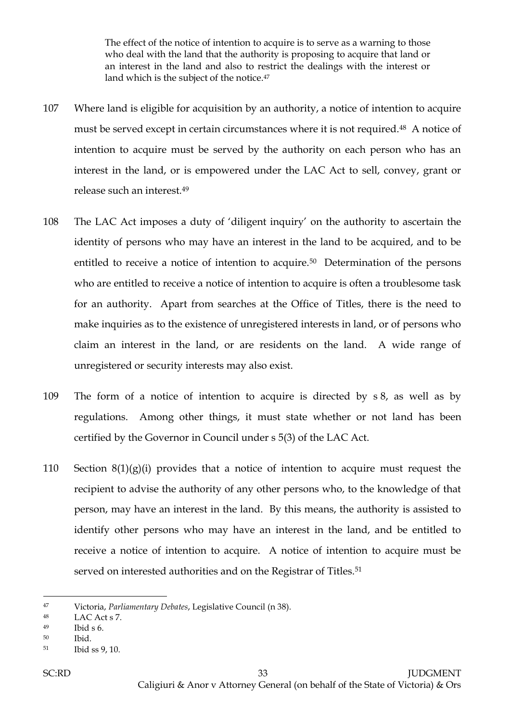The effect of the notice of intention to acquire is to serve as a warning to those who deal with the land that the authority is proposing to acquire that land or an interest in the land and also to restrict the dealings with the interest or land which is the subject of the notice.<sup>47</sup>

- 107 Where land is eligible for acquisition by an authority, a notice of intention to acquire must be served except in certain circumstances where it is not required.48 A notice of intention to acquire must be served by the authority on each person who has an interest in the land, or is empowered under the LAC Act to sell, convey, grant or release such an interest.<sup>49</sup>
- 108 The LAC Act imposes a duty of 'diligent inquiry' on the authority to ascertain the identity of persons who may have an interest in the land to be acquired, and to be entitled to receive a notice of intention to acquire.<sup>50</sup> Determination of the persons who are entitled to receive a notice of intention to acquire is often a troublesome task for an authority. Apart from searches at the Office of Titles, there is the need to make inquiries as to the existence of unregistered interests in land, or of persons who claim an interest in the land, or are residents on the land. A wide range of unregistered or security interests may also exist.
- 109 The form of a notice of intention to acquire is directed by s 8, as well as by regulations. Among other things, it must state whether or not land has been certified by the Governor in Council under s 5(3) of the LAC Act.
- 110 Section  $8(1)(g)(i)$  provides that a notice of intention to acquire must request the recipient to advise the authority of any other persons who, to the knowledge of that person, may have an interest in the land. By this means, the authority is assisted to identify other persons who may have an interest in the land, and be entitled to receive a notice of intention to acquire. A notice of intention to acquire must be served on interested authorities and on the Registrar of Titles.<sup>51</sup>

<sup>47</sup> Victoria, *Parliamentary Debates*, Legislative Council (n 38).

<sup>48</sup> LAC Act s 7.

<sup>49</sup> Ibid s 6.

<sup>50</sup> Ibid.

<sup>51</sup> Ibid ss 9, 10.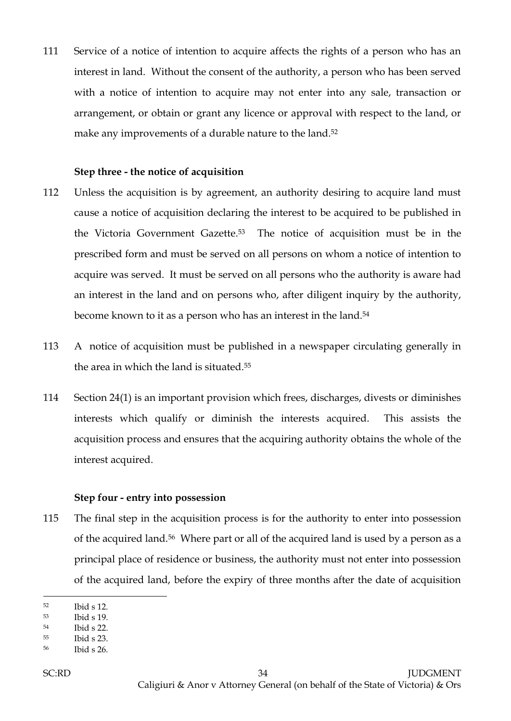111 Service of a notice of intention to acquire affects the rights of a person who has an interest in land. Without the consent of the authority, a person who has been served with a notice of intention to acquire may not enter into any sale, transaction or arrangement, or obtain or grant any licence or approval with respect to the land, or make any improvements of a durable nature to the land.<sup>52</sup>

#### **Step three - the notice of acquisition**

- 112 Unless the acquisition is by agreement, an authority desiring to acquire land must cause a notice of acquisition declaring the interest to be acquired to be published in the Victoria Government Gazette.53 The notice of acquisition must be in the prescribed form and must be served on all persons on whom a notice of intention to acquire was served. It must be served on all persons who the authority is aware had an interest in the land and on persons who, after diligent inquiry by the authority, become known to it as a person who has an interest in the land.<sup>54</sup>
- 113 A notice of acquisition must be published in a newspaper circulating generally in the area in which the land is situated.<sup>55</sup>
- 114 Section 24(1) is an important provision which frees, discharges, divests or diminishes interests which qualify or diminish the interests acquired. This assists the acquisition process and ensures that the acquiring authority obtains the whole of the interest acquired.

#### **Step four - entry into possession**

115 The final step in the acquisition process is for the authority to enter into possession of the acquired land.56 Where part or all of the acquired land is used by a person as a principal place of residence or business, the authority must not enter into possession of the acquired land, before the expiry of three months after the date of acquisition

<sup>52</sup> Ibid s 12.

<sup>53</sup> Ibid s 19.

<sup>54</sup> Ibid s 22.

<sup>55</sup> Ibid s 23.

<sup>56</sup> Ibid s 26.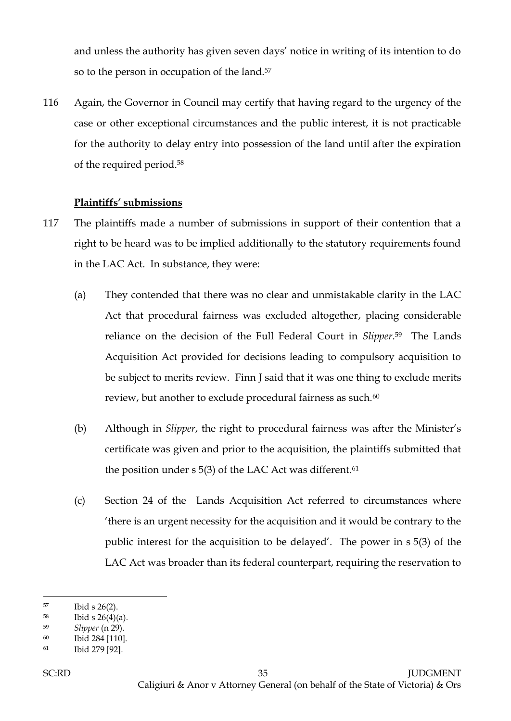and unless the authority has given seven days' notice in writing of its intention to do so to the person in occupation of the land.<sup>57</sup>

116 Again, the Governor in Council may certify that having regard to the urgency of the case or other exceptional circumstances and the public interest, it is not practicable for the authority to delay entry into possession of the land until after the expiration of the required period.<sup>58</sup>

## **Plaintiffs' submissions**

- 117 The plaintiffs made a number of submissions in support of their contention that a right to be heard was to be implied additionally to the statutory requirements found in the LAC Act. In substance, they were:
	- (a) They contended that there was no clear and unmistakable clarity in the LAC Act that procedural fairness was excluded altogether, placing considerable reliance on the decision of the Full Federal Court in *Slipper*. <sup>59</sup> The Lands Acquisition Act provided for decisions leading to compulsory acquisition to be subject to merits review. Finn J said that it was one thing to exclude merits review, but another to exclude procedural fairness as such.<sup>60</sup>
	- (b) Although in *Slipper*, the right to procedural fairness was after the Minister's certificate was given and prior to the acquisition, the plaintiffs submitted that the position under s 5(3) of the LAC Act was different. 61
	- (c) Section 24 of the Lands Acquisition Act referred to circumstances where 'there is an urgent necessity for the acquisition and it would be contrary to the public interest for the acquisition to be delayed'. The power in s 5(3) of the LAC Act was broader than its federal counterpart, requiring the reservation to

<sup>57</sup> Ibid s 26(2).

 $^{58}$  Ibid s 26(4)(a).

<sup>59</sup> *Slipper* (n 29).

<sup>60</sup> Ibid 284 [110].

<sup>61</sup> Ibid 279 [92].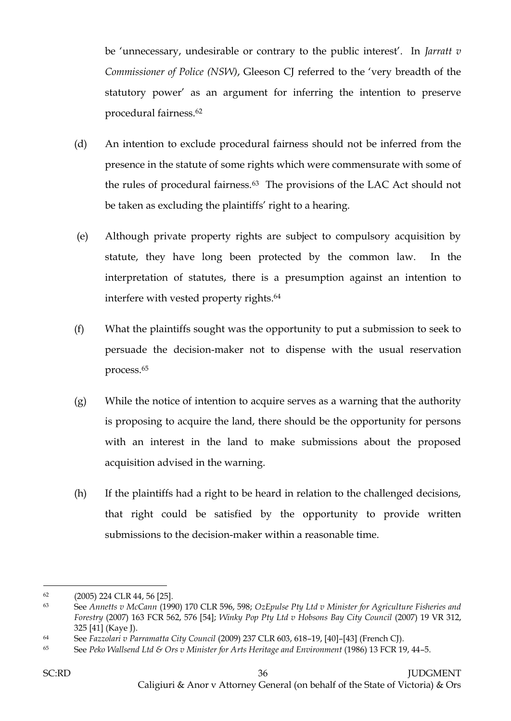be 'unnecessary, undesirable or contrary to the public interest'. In *Jarratt v Commissioner of Police (NSW)*, Gleeson CJ referred to the 'very breadth of the statutory power' as an argument for inferring the intention to preserve procedural fairness.<sup>62</sup>

- (d) An intention to exclude procedural fairness should not be inferred from the presence in the statute of some rights which were commensurate with some of the rules of procedural fairness.63 The provisions of the LAC Act should not be taken as excluding the plaintiffs' right to a hearing.
- (e) Although private property rights are subject to compulsory acquisition by statute, they have long been protected by the common law. In the interpretation of statutes, there is a presumption against an intention to interfere with vested property rights.<sup>64</sup>
- (f) What the plaintiffs sought was the opportunity to put a submission to seek to persuade the decision-maker not to dispense with the usual reservation process.<sup>65</sup>
- (g) While the notice of intention to acquire serves as a warning that the authority is proposing to acquire the land, there should be the opportunity for persons with an interest in the land to make submissions about the proposed acquisition advised in the warning.
- (h) If the plaintiffs had a right to be heard in relation to the challenged decisions, that right could be satisfied by the opportunity to provide written submissions to the decision-maker within a reasonable time.

<sup>62</sup> (2005) 224 CLR 44, 56 [25].

<sup>63</sup> See *Annetts v McCann* (1990) 170 CLR 596, 598; *OzEpulse Pty Ltd v Minister for Agriculture Fisheries and Forestry* (2007) 163 FCR 562, 576 [54]; *Winky Pop Pty Ltd v Hobsons Bay City Council* (2007) 19 VR 312, 325 [41] (Kaye J).

<sup>64</sup> See *Fazzolari v Parramatta City Council* (2009) 237 CLR 603, 618–19, [40]–[43] (French CJ).

<sup>65</sup> See *Peko Wallsend Ltd & Ors v Minister for Arts Heritage and Environment* (1986) 13 FCR 19, 44–5.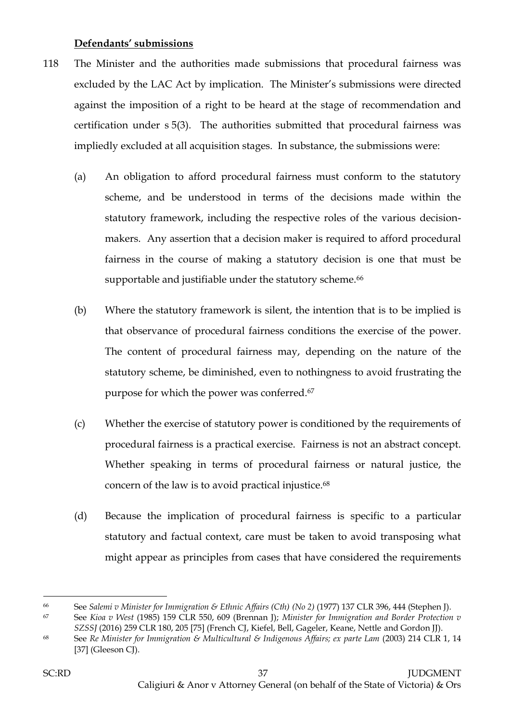## **Defendants' submissions**

- 118 The Minister and the authorities made submissions that procedural fairness was excluded by the LAC Act by implication. The Minister's submissions were directed against the imposition of a right to be heard at the stage of recommendation and certification under s 5(3). The authorities submitted that procedural fairness was impliedly excluded at all acquisition stages. In substance, the submissions were:
	- (a) An obligation to afford procedural fairness must conform to the statutory scheme, and be understood in terms of the decisions made within the statutory framework, including the respective roles of the various decisionmakers. Any assertion that a decision maker is required to afford procedural fairness in the course of making a statutory decision is one that must be supportable and justifiable under the statutory scheme.<sup>66</sup>
	- (b) Where the statutory framework is silent, the intention that is to be implied is that observance of procedural fairness conditions the exercise of the power. The content of procedural fairness may, depending on the nature of the statutory scheme, be diminished, even to nothingness to avoid frustrating the purpose for which the power was conferred.<sup>67</sup>
	- (c) Whether the exercise of statutory power is conditioned by the requirements of procedural fairness is a practical exercise. Fairness is not an abstract concept. Whether speaking in terms of procedural fairness or natural justice, the concern of the law is to avoid practical injustice.<sup>68</sup>
	- (d) Because the implication of procedural fairness is specific to a particular statutory and factual context, care must be taken to avoid transposing what might appear as principles from cases that have considered the requirements

<sup>66</sup> See *Salemi v Minister for Immigration & Ethnic Affairs (Cth) (No 2)* (1977) 137 CLR 396, 444 (Stephen J).

<sup>67</sup> See *Kioa v West* (1985) 159 CLR 550, 609 (Brennan J); *Minister for Immigration and Border Protection v SZSSJ* (2016) 259 CLR 180, 205 [75] (French CJ, Kiefel, Bell, Gageler, Keane, Nettle and Gordon JJ).

<sup>68</sup> See *Re Minister for Immigration & Multicultural & Indigenous Affairs; ex parte Lam* (2003) 214 CLR 1, 14 [37] (Gleeson CJ).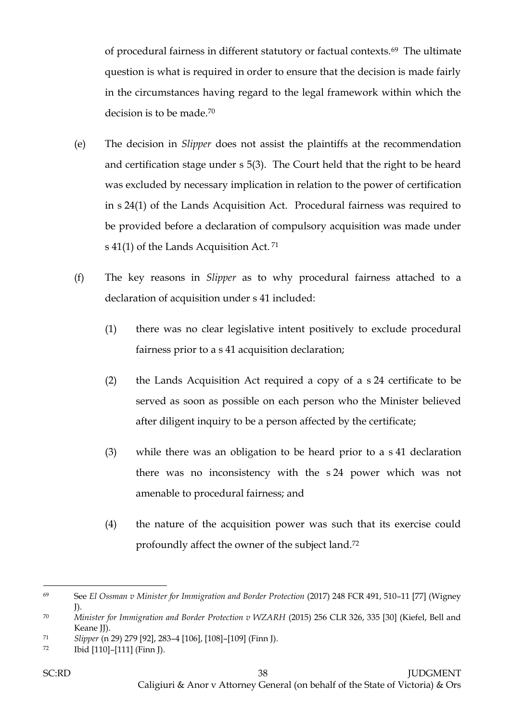of procedural fairness in different statutory or factual contexts.69 The ultimate question is what is required in order to ensure that the decision is made fairly in the circumstances having regard to the legal framework within which the decision is to be made.<sup>70</sup>

- (e) The decision in *Slipper* does not assist the plaintiffs at the recommendation and certification stage under s 5(3). The Court held that the right to be heard was excluded by necessary implication in relation to the power of certification in s 24(1) of the Lands Acquisition Act. Procedural fairness was required to be provided before a declaration of compulsory acquisition was made under s 41(1) of the Lands Acquisition Act. <sup>71</sup>
- (f) The key reasons in *Slipper* as to why procedural fairness attached to a declaration of acquisition under s 41 included:
	- (1) there was no clear legislative intent positively to exclude procedural fairness prior to a s 41 acquisition declaration;
	- (2) the Lands Acquisition Act required a copy of a s 24 certificate to be served as soon as possible on each person who the Minister believed after diligent inquiry to be a person affected by the certificate;
	- (3) while there was an obligation to be heard prior to a s 41 declaration there was no inconsistency with the s 24 power which was not amenable to procedural fairness; and
	- (4) the nature of the acquisition power was such that its exercise could profoundly affect the owner of the subject land.<sup>72</sup>

 $\overline{a}$ <sup>69</sup> See *El Ossman v Minister for Immigration and Border Protection* (2017) 248 FCR 491, 510–11 [77] (Wigney J).

<sup>70</sup> *Minister for Immigration and Border Protection v WZARH* (2015) 256 CLR 326, 335 [30] (Kiefel, Bell and Keane JJ).

<sup>71</sup> *Slipper* (n 29) 279 [92], 283–4 [106], [108]–[109] (Finn J).

<sup>72</sup> Ibid [110]–[111] (Finn J).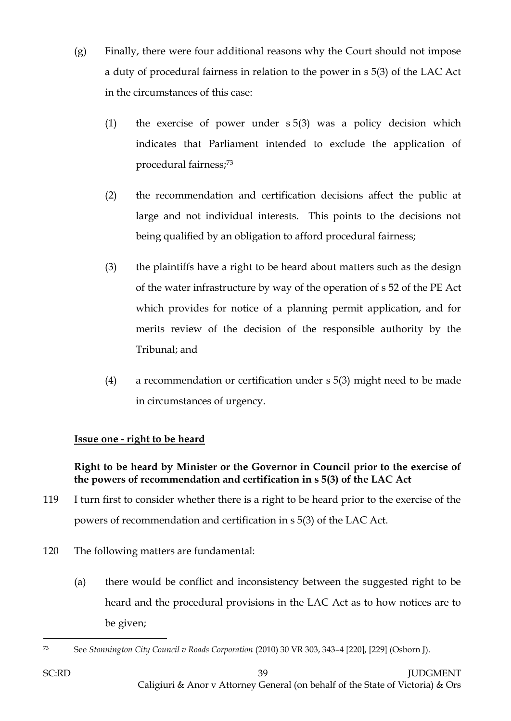- (g) Finally, there were four additional reasons why the Court should not impose a duty of procedural fairness in relation to the power in s 5(3) of the LAC Act in the circumstances of this case:
	- (1) the exercise of power under s 5(3) was a policy decision which indicates that Parliament intended to exclude the application of procedural fairness;<sup>73</sup>
	- (2) the recommendation and certification decisions affect the public at large and not individual interests. This points to the decisions not being qualified by an obligation to afford procedural fairness;
	- (3) the plaintiffs have a right to be heard about matters such as the design of the water infrastructure by way of the operation of s 52 of the PE Act which provides for notice of a planning permit application, and for merits review of the decision of the responsible authority by the Tribunal; and
	- (4) a recommendation or certification under s 5(3) might need to be made in circumstances of urgency.

# **Issue one - right to be heard**

# **Right to be heard by Minister or the Governor in Council prior to the exercise of the powers of recommendation and certification in s 5(3) of the LAC Act**

- 119 I turn first to consider whether there is a right to be heard prior to the exercise of the powers of recommendation and certification in s 5(3) of the LAC Act.
- 120 The following matters are fundamental:
	- (a) there would be conflict and inconsistency between the suggested right to be heard and the procedural provisions in the LAC Act as to how notices are to be given;

 $\overline{a}$ <sup>73</sup> See *Stonnington City Council v Roads Corporation* (2010) 30 VR 303, 343–4 [220], [229] (Osborn J).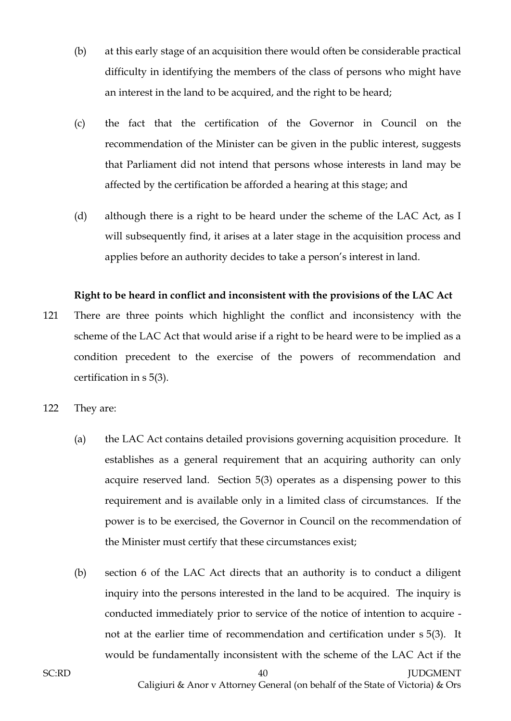- (b) at this early stage of an acquisition there would often be considerable practical difficulty in identifying the members of the class of persons who might have an interest in the land to be acquired, and the right to be heard;
- (c) the fact that the certification of the Governor in Council on the recommendation of the Minister can be given in the public interest, suggests that Parliament did not intend that persons whose interests in land may be affected by the certification be afforded a hearing at this stage; and
- (d) although there is a right to be heard under the scheme of the LAC Act, as I will subsequently find, it arises at a later stage in the acquisition process and applies before an authority decides to take a person's interest in land.

## **Right to be heard in conflict and inconsistent with the provisions of the LAC Act**

- 121 There are three points which highlight the conflict and inconsistency with the scheme of the LAC Act that would arise if a right to be heard were to be implied as a condition precedent to the exercise of the powers of recommendation and certification in s 5(3).
- 122 They are:
	- (a) the LAC Act contains detailed provisions governing acquisition procedure. It establishes as a general requirement that an acquiring authority can only acquire reserved land. Section 5(3) operates as a dispensing power to this requirement and is available only in a limited class of circumstances. If the power is to be exercised, the Governor in Council on the recommendation of the Minister must certify that these circumstances exist;
	- (b) section 6 of the LAC Act directs that an authority is to conduct a diligent inquiry into the persons interested in the land to be acquired. The inquiry is conducted immediately prior to service of the notice of intention to acquire not at the earlier time of recommendation and certification under s 5(3). It would be fundamentally inconsistent with the scheme of the LAC Act if the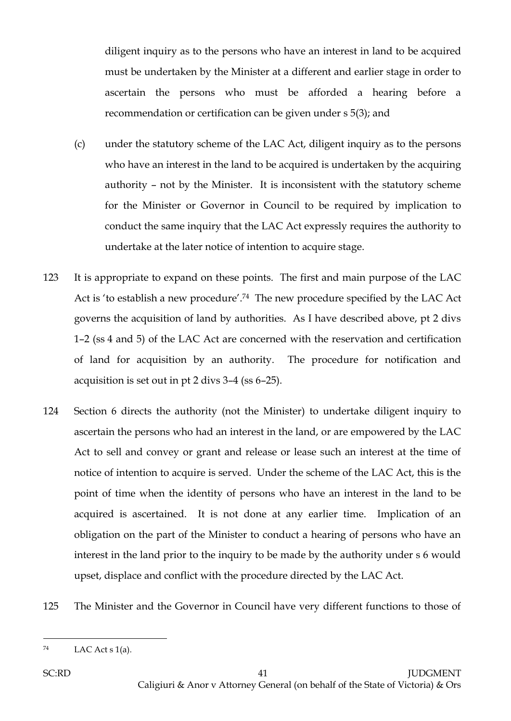diligent inquiry as to the persons who have an interest in land to be acquired must be undertaken by the Minister at a different and earlier stage in order to ascertain the persons who must be afforded a hearing before a recommendation or certification can be given under s 5(3); and

- (c) under the statutory scheme of the LAC Act, diligent inquiry as to the persons who have an interest in the land to be acquired is undertaken by the acquiring authority – not by the Minister. It is inconsistent with the statutory scheme for the Minister or Governor in Council to be required by implication to conduct the same inquiry that the LAC Act expressly requires the authority to undertake at the later notice of intention to acquire stage.
- 123 It is appropriate to expand on these points. The first and main purpose of the LAC Act is 'to establish a new procedure'.74 The new procedure specified by the LAC Act governs the acquisition of land by authorities. As I have described above, pt 2 divs 1–2 (ss 4 and 5) of the LAC Act are concerned with the reservation and certification of land for acquisition by an authority. The procedure for notification and acquisition is set out in pt 2 divs 3–4 (ss 6–25).
- 124 Section 6 directs the authority (not the Minister) to undertake diligent inquiry to ascertain the persons who had an interest in the land, or are empowered by the LAC Act to sell and convey or grant and release or lease such an interest at the time of notice of intention to acquire is served. Under the scheme of the LAC Act, this is the point of time when the identity of persons who have an interest in the land to be acquired is ascertained. It is not done at any earlier time. Implication of an obligation on the part of the Minister to conduct a hearing of persons who have an interest in the land prior to the inquiry to be made by the authority under s 6 would upset, displace and conflict with the procedure directed by the LAC Act.
- 125 The Minister and the Governor in Council have very different functions to those of

 $A^2$  LAC Act s 1(a).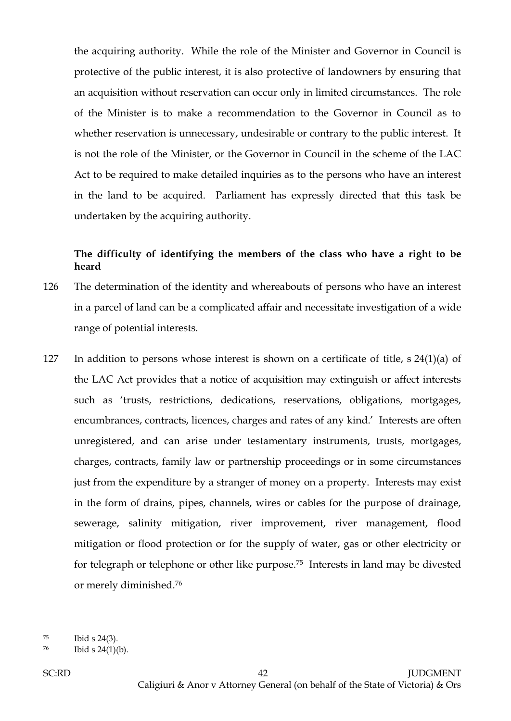the acquiring authority. While the role of the Minister and Governor in Council is protective of the public interest, it is also protective of landowners by ensuring that an acquisition without reservation can occur only in limited circumstances. The role of the Minister is to make a recommendation to the Governor in Council as to whether reservation is unnecessary, undesirable or contrary to the public interest. It is not the role of the Minister, or the Governor in Council in the scheme of the LAC Act to be required to make detailed inquiries as to the persons who have an interest in the land to be acquired. Parliament has expressly directed that this task be undertaken by the acquiring authority.

## **The difficulty of identifying the members of the class who have a right to be heard**

- 126 The determination of the identity and whereabouts of persons who have an interest in a parcel of land can be a complicated affair and necessitate investigation of a wide range of potential interests.
- 127 In addition to persons whose interest is shown on a certificate of title, s 24(1)(a) of the LAC Act provides that a notice of acquisition may extinguish or affect interests such as 'trusts, restrictions, dedications, reservations, obligations, mortgages, encumbrances, contracts, licences, charges and rates of any kind.' Interests are often unregistered, and can arise under testamentary instruments, trusts, mortgages, charges, contracts, family law or partnership proceedings or in some circumstances just from the expenditure by a stranger of money on a property. Interests may exist in the form of drains, pipes, channels, wires or cables for the purpose of drainage, sewerage, salinity mitigation, river improvement, river management, flood mitigation or flood protection or for the supply of water, gas or other electricity or for telegraph or telephone or other like purpose.75 Interests in land may be divested or merely diminished.<sup>76</sup>

<sup>75</sup> Ibid s 24(3).

 $^{76}$  Ibid s 24(1)(b).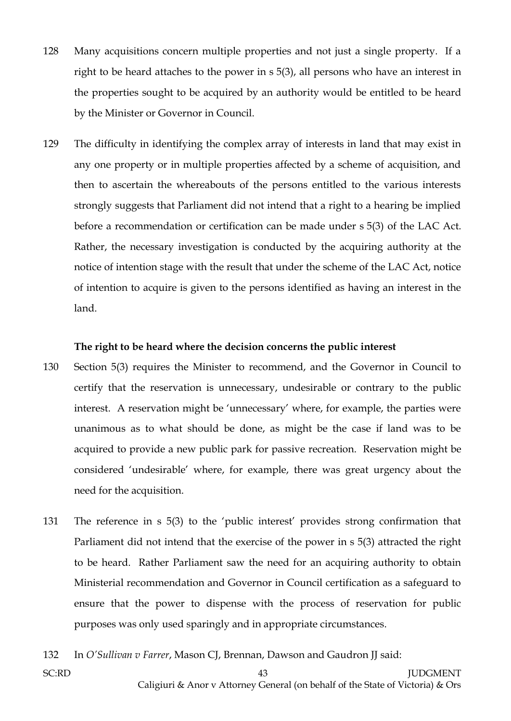- 128 Many acquisitions concern multiple properties and not just a single property. If a right to be heard attaches to the power in s 5(3), all persons who have an interest in the properties sought to be acquired by an authority would be entitled to be heard by the Minister or Governor in Council.
- 129 The difficulty in identifying the complex array of interests in land that may exist in any one property or in multiple properties affected by a scheme of acquisition, and then to ascertain the whereabouts of the persons entitled to the various interests strongly suggests that Parliament did not intend that a right to a hearing be implied before a recommendation or certification can be made under s 5(3) of the LAC Act. Rather, the necessary investigation is conducted by the acquiring authority at the notice of intention stage with the result that under the scheme of the LAC Act, notice of intention to acquire is given to the persons identified as having an interest in the land.

#### **The right to be heard where the decision concerns the public interest**

- 130 Section 5(3) requires the Minister to recommend, and the Governor in Council to certify that the reservation is unnecessary, undesirable or contrary to the public interest. A reservation might be 'unnecessary' where, for example, the parties were unanimous as to what should be done, as might be the case if land was to be acquired to provide a new public park for passive recreation. Reservation might be considered 'undesirable' where, for example, there was great urgency about the need for the acquisition.
- 131 The reference in s 5(3) to the 'public interest' provides strong confirmation that Parliament did not intend that the exercise of the power in s 5(3) attracted the right to be heard. Rather Parliament saw the need for an acquiring authority to obtain Ministerial recommendation and Governor in Council certification as a safeguard to ensure that the power to dispense with the process of reservation for public purposes was only used sparingly and in appropriate circumstances.
- 132 In *O'Sullivan v Farrer*, Mason CJ, Brennan, Dawson and Gaudron JJ said: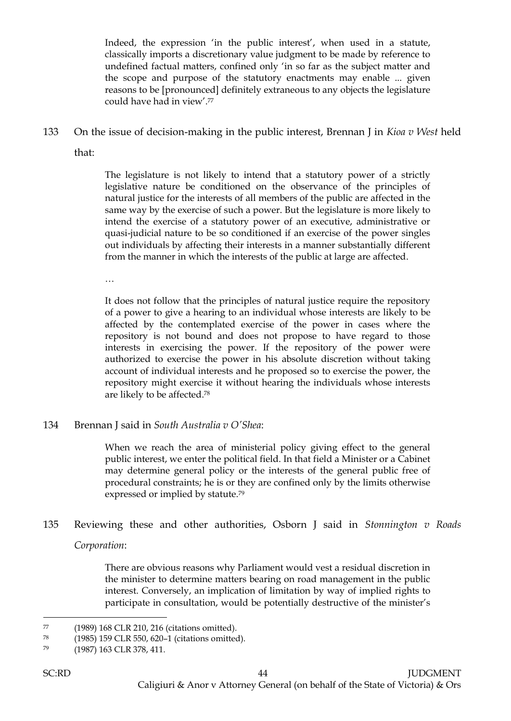Indeed, the expression 'in the public interest', when used in a statute, classically imports a discretionary value judgment to be made by reference to undefined factual matters, confined only 'in so far as the subject matter and the scope and purpose of the statutory enactments may enable ... given reasons to be [pronounced] definitely extraneous to any objects the legislature could have had in view'.<sup>77</sup>

133 On the issue of decision-making in the public interest, Brennan J in *Kioa v West* held that:

> The legislature is not likely to intend that a statutory power of a strictly legislative nature be conditioned on the observance of the principles of natural justice for the interests of all members of the public are affected in the same way by the exercise of such a power. But the legislature is more likely to intend the exercise of a statutory power of an executive, administrative or quasi-judicial nature to be so conditioned if an exercise of the power singles out individuals by affecting their interests in a manner substantially different from the manner in which the interests of the public at large are affected.

…

It does not follow that the principles of natural justice require the repository of a power to give a hearing to an individual whose interests are likely to be affected by the contemplated exercise of the power in cases where the repository is not bound and does not propose to have regard to those interests in exercising the power. If the repository of the power were authorized to exercise the power in his absolute discretion without taking account of individual interests and he proposed so to exercise the power, the repository might exercise it without hearing the individuals whose interests are likely to be affected. 78

## 134 Brennan J said in *South Australia v O'Shea*:

When we reach the area of ministerial policy giving effect to the general public interest, we enter the political field. In that field a Minister or a Cabinet may determine general policy or the interests of the general public free of procedural constraints; he is or they are confined only by the limits otherwise expressed or implied by statute.<sup>79</sup>

# 135 Reviewing these and other authorities, Osborn J said in *Stonnington v Roads Corporation*:

There are obvious reasons why Parliament would vest a residual discretion in the minister to determine matters bearing on road management in the public interest. Conversely, an implication of limitation by way of implied rights to participate in consultation, would be potentially destructive of the minister's

<sup>77</sup> (1989) 168 CLR 210, 216 (citations omitted).

<sup>78</sup> (1985) 159 CLR 550, 620–1 (citations omitted).

<sup>79</sup> (1987) 163 CLR 378, 411.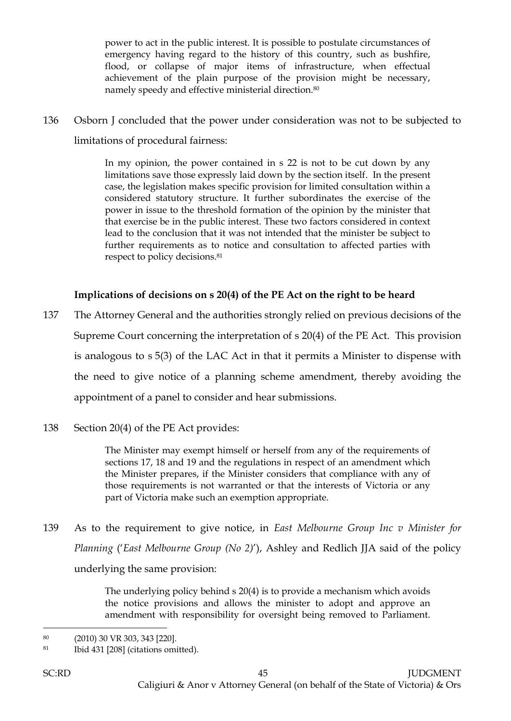power to act in the public interest. It is possible to postulate circumstances of emergency having regard to the history of this country, such as bushfire, flood, or collapse of major items of infrastructure, when effectual achievement of the plain purpose of the provision might be necessary, namely speedy and effective ministerial direction.<sup>80</sup>

136 Osborn J concluded that the power under consideration was not to be subjected to limitations of procedural fairness:

> In my opinion, the power contained in s 22 is not to be cut down by any limitations save those expressly laid down by the section itself. In the present case, the legislation makes specific provision for limited consultation within a considered statutory structure. It further subordinates the exercise of the power in issue to the threshold formation of the opinion by the minister that that exercise be in the public interest. These two factors considered in context lead to the conclusion that it was not intended that the minister be subject to further requirements as to notice and consultation to affected parties with respect to policy decisions.<sup>81</sup>

## **Implications of decisions on s 20(4) of the PE Act on the right to be heard**

- 137 The Attorney General and the authorities strongly relied on previous decisions of the Supreme Court concerning the interpretation of s 20(4) of the PE Act. This provision is analogous to s 5(3) of the LAC Act in that it permits a Minister to dispense with the need to give notice of a planning scheme amendment, thereby avoiding the appointment of a panel to consider and hear submissions.
- 138 Section 20(4) of the PE Act provides:

The Minister may exempt himself or herself from any of the requirements of sections 17, 18 and 19 and the regulations in respect of an amendment which the Minister prepares, if the Minister considers that compliance with any of those requirements is not warranted or that the interests of Victoria or any part of Victoria make such an exemption appropriate.

139 As to the requirement to give notice, in *East Melbourne Group Inc v Minister for Planning* ('*East Melbourne Group (No 2)*'), Ashley and Redlich JJA said of the policy underlying the same provision:

> The underlying policy behind s 20(4) is to provide a mechanism which avoids the notice provisions and allows the minister to adopt and approve an amendment with responsibility for oversight being removed to Parliament.

<sup>80</sup> (2010) 30 VR 303, 343 [220].

<sup>81</sup> Ibid 431 [208] (citations omitted).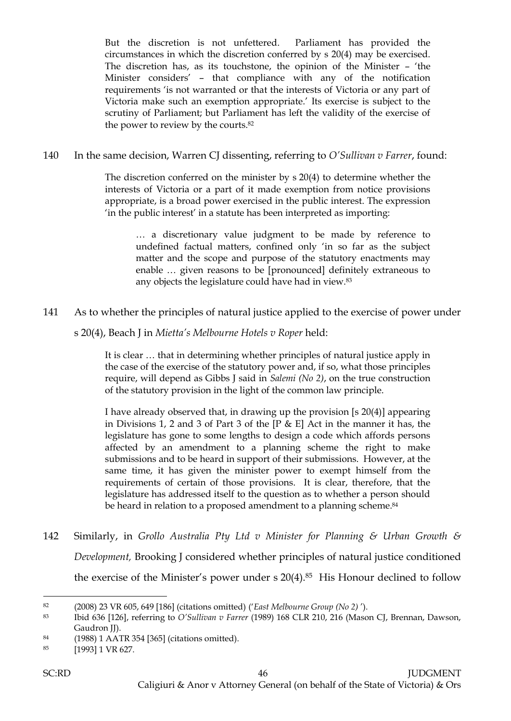But the discretion is not unfettered. Parliament has provided the circumstances in which the discretion conferred by s 20(4) may be exercised. The discretion has, as its touchstone, the opinion of the Minister – 'the Minister considers' – that compliance with any of the notification requirements 'is not warranted or that the interests of Victoria or any part of Victoria make such an exemption appropriate.' Its exercise is subject to the scrutiny of Parliament; but Parliament has left the validity of the exercise of the power to review by the courts.<sup>82</sup>

## 140 In the same decision, Warren CJ dissenting, referring to *O'Sullivan v Farrer*, found:

The discretion conferred on the minister by  $s \, 20(4)$  to determine whether the interests of Victoria or a part of it made exemption from notice provisions appropriate, is a broad power exercised in the public interest. The expression 'in the public interest' in a statute has been interpreted as importing:

… a discretionary value judgment to be made by reference to undefined factual matters, confined only 'in so far as the subject matter and the scope and purpose of the statutory enactments may enable … given reasons to be [pronounced] definitely extraneous to any objects the legislature could have had in view.<sup>83</sup>

## 141 As to whether the principles of natural justice applied to the exercise of power under

s 20(4), Beach J in *Mietta's Melbourne Hotels v Roper* held:

It is clear … that in determining whether principles of natural justice apply in the case of the exercise of the statutory power and, if so, what those principles require, will depend as Gibbs J said in *Salemi (No 2)*, on the true construction of the statutory provision in the light of the common law principle.

I have already observed that, in drawing up the provision [s 20(4)] appearing in Divisions 1, 2 and 3 of Part 3 of the [P & E] Act in the manner it has, the legislature has gone to some lengths to design a code which affords persons affected by an amendment to a planning scheme the right to make submissions and to be heard in support of their submissions. However, at the same time, it has given the minister power to exempt himself from the requirements of certain of those provisions. It is clear, therefore, that the legislature has addressed itself to the question as to whether a person should be heard in relation to a proposed amendment to a planning scheme.<sup>84</sup>

142 Similarly, in *Grollo Australia Pty Ltd v Minister for Planning & Urban Growth & Development,* Brooking J considered whether principles of natural justice conditioned the exercise of the Minister's power under s 20(4).85 His Honour declined to follow

<sup>82</sup> (2008) 23 VR 605, 649 [186] (citations omitted) ('*East Melbourne Group (No 2)* ').

<sup>83</sup> Ibid 636 [126], referring to *O'Sullivan v Farrer* (1989) 168 CLR 210, 216 (Mason CJ, Brennan, Dawson, Gaudron *JJ*).

<sup>84</sup> (1988) 1 AATR 354 [365] (citations omitted).

<sup>85</sup> [1993] 1 VR 627.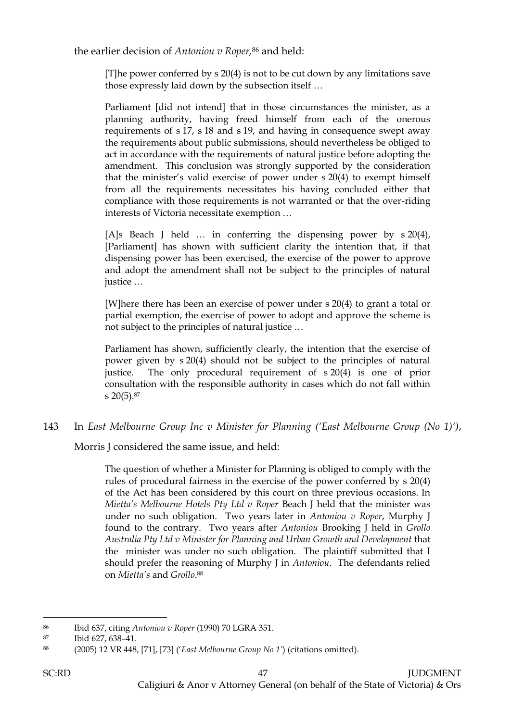the earlier decision of *Antoniou v Roper,*<sup>86</sup> and held:

[T]he power conferred by s 20(4) is not to be cut down by any limitations save those expressly laid down by the subsection itself …

Parliament [did not intend] that in those circumstances the minister, as a planning authority, having freed himself from each of the onerous requirements of s 17, s 18 and s 19, and having in consequence swept away the requirements about public submissions, should nevertheless be obliged to act in accordance with the requirements of natural justice before adopting the amendment. This conclusion was strongly supported by the consideration that the minister's valid exercise of power under s 20(4) to exempt himself from all the requirements necessitates his having concluded either that compliance with those requirements is not warranted or that the over-riding interests of Victoria necessitate exemption …

[A]s Beach J held … in conferring the dispensing power by s 20(4), [Parliament] has shown with sufficient clarity the intention that, if that dispensing power has been exercised, the exercise of the power to approve and adopt the amendment shall not be subject to the principles of natural justice …

[W]here there has been an exercise of power under s 20(4) to grant a total or partial exemption, the exercise of power to adopt and approve the scheme is not subject to the principles of natural justice …

Parliament has shown, sufficiently clearly, the intention that the exercise of power given by s 20(4) should not be subject to the principles of natural justice. The only procedural requirement of s 20(4) is one of prior consultation with the responsible authority in cases which do not fall within s 20(5).<sup>87</sup>

143 In *East Melbourne Group Inc v Minister for Planning ('East Melbourne Group (No 1)')*,

Morris J considered the same issue, and held:

The question of whether a Minister for Planning is obliged to comply with the rules of procedural fairness in the exercise of the power conferred by [s 20\(4\)](http://www.austlii.edu.au/cgi-bin/viewdoc/au/legis/vic/consol_act/paea1987254/s20.html) of the Act has been considered by this court on three previous occasions. In *Mietta's Melbourne Hotels Pty Ltd v Roper* Beach J held that the minister was under no such obligation. Two years later in *Antoniou v Roper*, Murphy J found to the contrary. Two years after *Antoniou* Brooking J held in *Grollo Australia Pty Ltd v Minister for Planning and Urban Growth and Development* that the minister was under no such obligation. The plaintiff submitted that I should prefer the reasoning of Murphy J in *Antoniou*. The defendants relied on *Mietta's* and *Grollo*. 88

<sup>86</sup> Ibid 637, citing *Antoniou v Roper* (1990) 70 LGRA 351.

<sup>87</sup> Ibid 627, 638–41.

<sup>88</sup> (2005) 12 VR 448, [71], [73] ('*East Melbourne Group No 1'*) (citations omitted).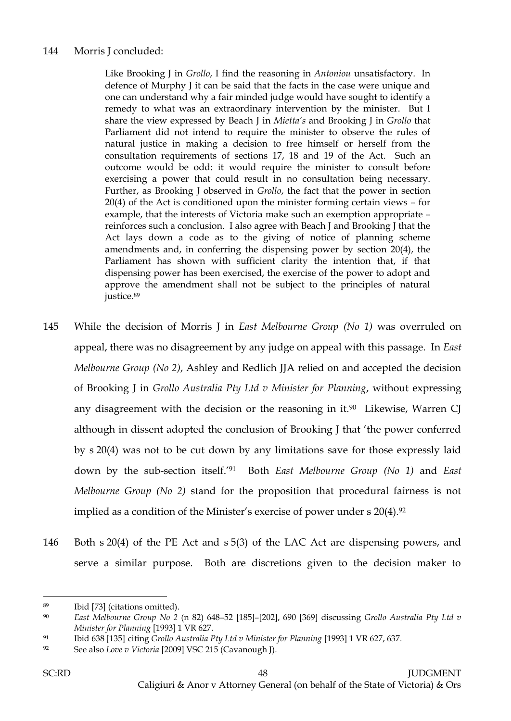## 144 Morris J concluded:

Like Brooking J in *Grollo*, I find the reasoning in *Antoniou* unsatisfactory. In defence of Murphy J it can be said that the facts in the case were unique and one can understand why a fair minded judge would have sought to identify a remedy to what was an extraordinary intervention by the minister. But I share the view expressed by Beach J in *Mietta's* and Brooking J in *Grollo* that Parliament did not intend to require the minister to observe the rules of natural justice in making a decision to free himself or herself from the consultation requirements of [sections 17,](http://www.austlii.edu.au/cgi-bin/viewdoc/au/legis/vic/consol_act/paea1987254/s17.html) [18](http://www.austlii.edu.au/cgi-bin/viewdoc/au/legis/vic/consol_act/paea1987254/s18.html) and [19](http://www.austlii.edu.au/cgi-bin/viewdoc/au/legis/vic/consol_act/paea1987254/s19.html) of the Act. Such an outcome would be odd: it would require the minister to consult before exercising a power that could result in no consultation being necessary. Further, as Brooking J observed in *Grollo*, the fact that the power in [section](http://www.austlii.edu.au/cgi-bin/viewdoc/au/legis/vic/consol_act/paea1987254/s20.html)  [20\(4\)](http://www.austlii.edu.au/cgi-bin/viewdoc/au/legis/vic/consol_act/paea1987254/s20.html) of the Act is conditioned upon the minister forming certain views – for example, that the interests of Victoria make such an exemption appropriate – reinforces such a conclusion. I also agree with Beach J and Brooking J that the Act lays down a code as to the giving of notice of planning scheme amendments and, in conferring the dispensing power by [section 20\(4\),](http://www.austlii.edu.au/cgi-bin/viewdoc/au/legis/vic/consol_act/paea1987254/s20.html) the Parliament has shown with sufficient clarity the intention that, if that dispensing power has been exercised, the exercise of the power to adopt and approve the amendment shall not be subject to the principles of natural justice.<sup>89</sup>

- 145 While the decision of Morris J in *East Melbourne Group (No 1)* was overruled on appeal, there was no disagreement by any judge on appeal with this passage. In *East Melbourne Group (No 2)*, Ashley and Redlich JJA relied on and accepted the decision of Brooking J in *Grollo Australia Pty Ltd v Minister for Planning*, without expressing any disagreement with the decision or the reasoning in it. $90$  Likewise, Warren CJ although in dissent adopted the conclusion of Brooking J that 'the power conferred by s 20(4) was not to be cut down by any limitations save for those expressly laid down by the sub-section itself.'91 Both *East Melbourne Group (No 1)* and *East Melbourne Group (No 2)* stand for the proposition that procedural fairness is not implied as a condition of the Minister's exercise of power under s 20(4).<sup>92</sup>
- 146 Both s 20(4) of the PE Act and s 5(3) of the LAC Act are dispensing powers, and serve a similar purpose. Both are discretions given to the decision maker to

<sup>89</sup> Ibid [73] (citations omitted).

<sup>90</sup> *East Melbourne Group No 2* (n 82) 648–52 [185]–[202], 690 [369] discussing *Grollo Australia Pty Ltd v Minister for Planning* [1993] 1 VR 627.

<sup>91</sup> Ibid 638 [135] citing *Grollo Australia Pty Ltd v Minister for Planning* [1993] 1 VR 627, 637.

<sup>92</sup> See also *Love v Victoria* [2009] VSC 215 (Cavanough J).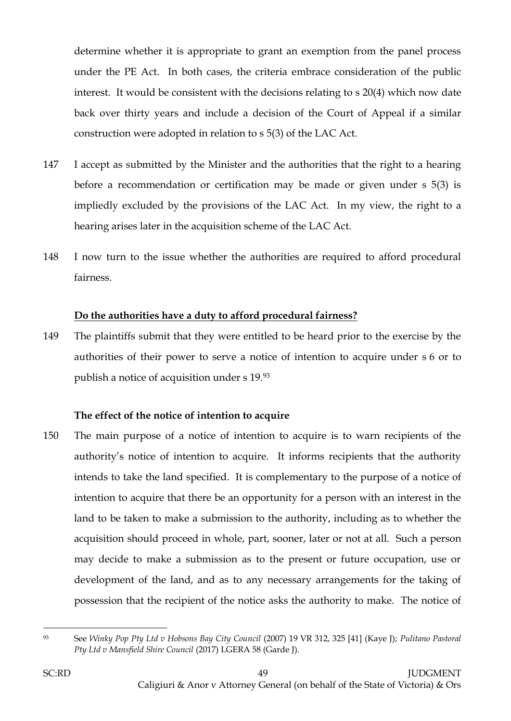determine whether it is appropriate to grant an exemption from the panel process under the PE Act. In both cases, the criteria embrace consideration of the public interest. It would be consistent with the decisions relating to s 20(4) which now date back over thirty years and include a decision of the Court of Appeal if a similar construction were adopted in relation to s 5(3) of the LAC Act.

- 147 I accept as submitted by the Minister and the authorities that the right to a hearing before a recommendation or certification may be made or given under s 5(3) is impliedly excluded by the provisions of the LAC Act. In my view, the right to a hearing arises later in the acquisition scheme of the LAC Act.
- 148 I now turn to the issue whether the authorities are required to afford procedural fairness.

#### **Do the authorities have a duty to afford procedural fairness?**

149 The plaintiffs submit that they were entitled to be heard prior to the exercise by the authorities of their power to serve a notice of intention to acquire under s 6 or to publish a notice of acquisition under s 19.<sup>93</sup>

## **The effect of the notice of intention to acquire**

150 The main purpose of a notice of intention to acquire is to warn recipients of the authority's notice of intention to acquire. It informs recipients that the authority intends to take the land specified. It is complementary to the purpose of a notice of intention to acquire that there be an opportunity for a person with an interest in the land to be taken to make a submission to the authority, including as to whether the acquisition should proceed in whole, part, sooner, later or not at all. Such a person may decide to make a submission as to the present or future occupation, use or development of the land, and as to any necessary arrangements for the taking of possession that the recipient of the notice asks the authority to make. The notice of

 $\overline{a}$ 

<sup>93</sup> See *Winky Pop Pty Ltd v Hobsons Bay City Council* (2007) 19 VR 312, 325 [41] (Kaye J); *Pulitano Pastoral Pty Ltd v Mansfield Shire Council* (2017) LGERA 58 (Garde J).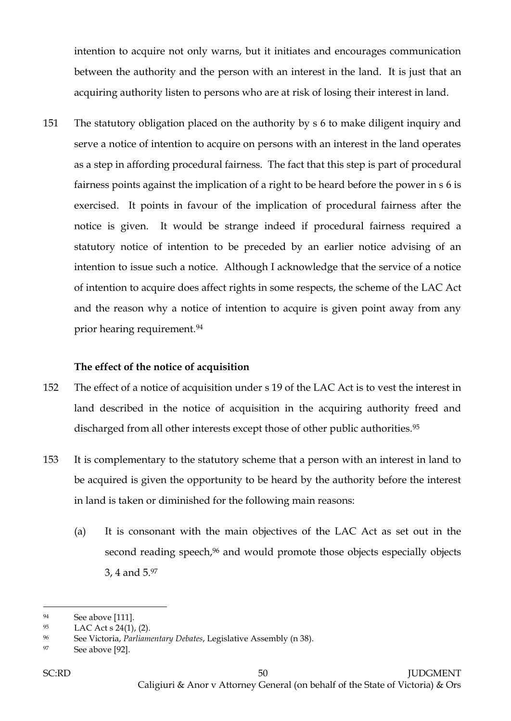intention to acquire not only warns, but it initiates and encourages communication between the authority and the person with an interest in the land. It is just that an acquiring authority listen to persons who are at risk of losing their interest in land.

151 The statutory obligation placed on the authority by s 6 to make diligent inquiry and serve a notice of intention to acquire on persons with an interest in the land operates as a step in affording procedural fairness. The fact that this step is part of procedural fairness points against the implication of a right to be heard before the power in s 6 is exercised. It points in favour of the implication of procedural fairness after the notice is given. It would be strange indeed if procedural fairness required a statutory notice of intention to be preceded by an earlier notice advising of an intention to issue such a notice. Although I acknowledge that the service of a notice of intention to acquire does affect rights in some respects, the scheme of the LAC Act and the reason why a notice of intention to acquire is given point away from any prior hearing requirement.<sup>94</sup>

## **The effect of the notice of acquisition**

- 152 The effect of a notice of acquisition under s 19 of the LAC Act is to vest the interest in land described in the notice of acquisition in the acquiring authority freed and discharged from all other interests except those of other public authorities.<sup>95</sup>
- 153 It is complementary to the statutory scheme that a person with an interest in land to be acquired is given the opportunity to be heard by the authority before the interest in land is taken or diminished for the following main reasons:
	- (a) It is consonant with the main objectives of the LAC Act as set out in the second reading speech,<sup>96</sup> and would promote those objects especially objects 3, 4 and 5.<sup>97</sup>

<sup>94</sup> See above [111].

<sup>95</sup> LAC Act s  $24(1)$ , (2).

<sup>96</sup> See Victoria, *Parliamentary Debates*, Legislative Assembly (n 38).

<sup>97</sup> See above [92].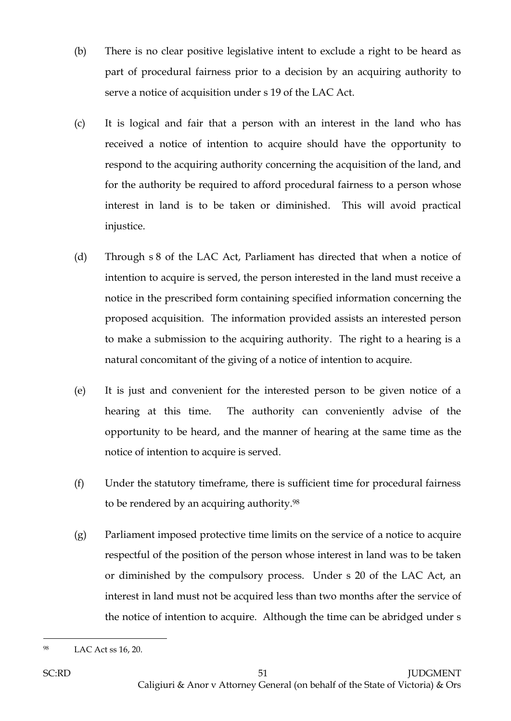- (b) There is no clear positive legislative intent to exclude a right to be heard as part of procedural fairness prior to a decision by an acquiring authority to serve a notice of acquisition under s 19 of the LAC Act.
- (c) It is logical and fair that a person with an interest in the land who has received a notice of intention to acquire should have the opportunity to respond to the acquiring authority concerning the acquisition of the land, and for the authority be required to afford procedural fairness to a person whose interest in land is to be taken or diminished. This will avoid practical injustice.
- (d) Through s 8 of the LAC Act, Parliament has directed that when a notice of intention to acquire is served, the person interested in the land must receive a notice in the prescribed form containing specified information concerning the proposed acquisition. The information provided assists an interested person to make a submission to the acquiring authority. The right to a hearing is a natural concomitant of the giving of a notice of intention to acquire.
- (e) It is just and convenient for the interested person to be given notice of a hearing at this time. The authority can conveniently advise of the opportunity to be heard, and the manner of hearing at the same time as the notice of intention to acquire is served.
- (f) Under the statutory timeframe, there is sufficient time for procedural fairness to be rendered by an acquiring authority.<sup>98</sup>
- (g) Parliament imposed protective time limits on the service of a notice to acquire respectful of the position of the person whose interest in land was to be taken or diminished by the compulsory process. Under s 20 of the LAC Act, an interest in land must not be acquired less than two months after the service of the notice of intention to acquire. Although the time can be abridged under s

<sup>98</sup> LAC Act ss 16, 20.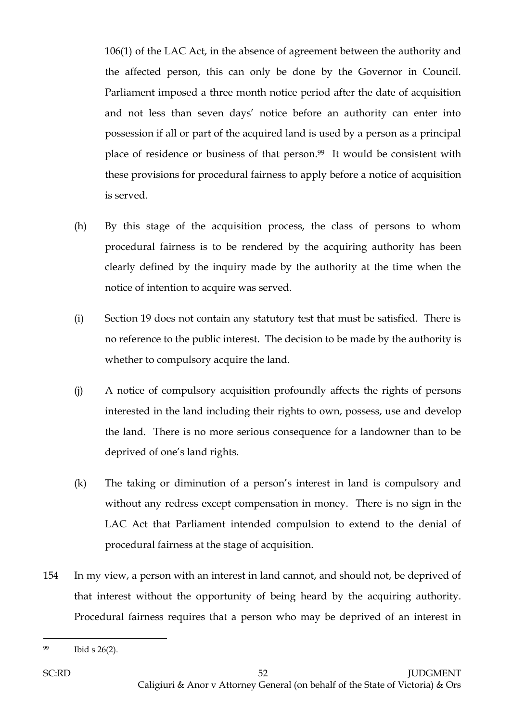106(1) of the LAC Act, in the absence of agreement between the authority and the affected person, this can only be done by the Governor in Council. Parliament imposed a three month notice period after the date of acquisition and not less than seven days' notice before an authority can enter into possession if all or part of the acquired land is used by a person as a principal place of residence or business of that person.99 It would be consistent with these provisions for procedural fairness to apply before a notice of acquisition is served.

- (h) By this stage of the acquisition process, the class of persons to whom procedural fairness is to be rendered by the acquiring authority has been clearly defined by the inquiry made by the authority at the time when the notice of intention to acquire was served.
- (i) Section 19 does not contain any statutory test that must be satisfied. There is no reference to the public interest. The decision to be made by the authority is whether to compulsory acquire the land.
- (j) A notice of compulsory acquisition profoundly affects the rights of persons interested in the land including their rights to own, possess, use and develop the land. There is no more serious consequence for a landowner than to be deprived of one's land rights.
- (k) The taking or diminution of a person's interest in land is compulsory and without any redress except compensation in money. There is no sign in the LAC Act that Parliament intended compulsion to extend to the denial of procedural fairness at the stage of acquisition.
- 154 In my view, a person with an interest in land cannot, and should not, be deprived of that interest without the opportunity of being heard by the acquiring authority. Procedural fairness requires that a person who may be deprived of an interest in

<sup>99</sup> Ibid s 26(2).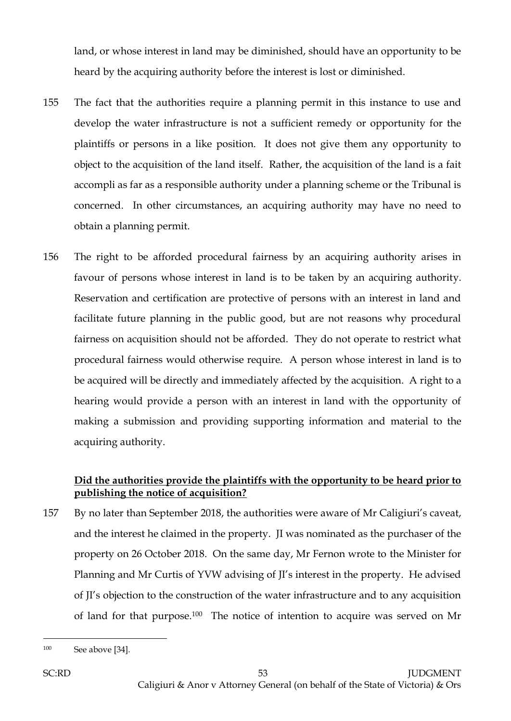land, or whose interest in land may be diminished, should have an opportunity to be heard by the acquiring authority before the interest is lost or diminished.

- 155 The fact that the authorities require a planning permit in this instance to use and develop the water infrastructure is not a sufficient remedy or opportunity for the plaintiffs or persons in a like position. It does not give them any opportunity to object to the acquisition of the land itself. Rather, the acquisition of the land is a fait accompli as far as a responsible authority under a planning scheme or the Tribunal is concerned. In other circumstances, an acquiring authority may have no need to obtain a planning permit.
- 156 The right to be afforded procedural fairness by an acquiring authority arises in favour of persons whose interest in land is to be taken by an acquiring authority. Reservation and certification are protective of persons with an interest in land and facilitate future planning in the public good, but are not reasons why procedural fairness on acquisition should not be afforded. They do not operate to restrict what procedural fairness would otherwise require. A person whose interest in land is to be acquired will be directly and immediately affected by the acquisition. A right to a hearing would provide a person with an interest in land with the opportunity of making a submission and providing supporting information and material to the acquiring authority.

# **Did the authorities provide the plaintiffs with the opportunity to be heard prior to publishing the notice of acquisition?**

157 By no later than September 2018, the authorities were aware of Mr Caligiuri's caveat, and the interest he claimed in the property. JI was nominated as the purchaser of the property on 26 October 2018. On the same day, Mr Fernon wrote to the Minister for Planning and Mr Curtis of YVW advising of JI's interest in the property. He advised of JI's objection to the construction of the water infrastructure and to any acquisition of land for that purpose.100 The notice of intention to acquire was served on Mr

<sup>100</sup> See above [34].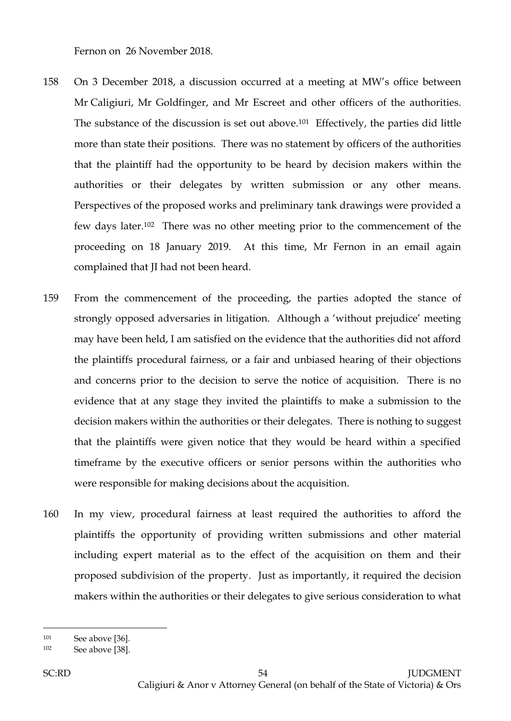Fernon on 26 November 2018.

- 158 On 3 December 2018, a discussion occurred at a meeting at MW's office between Mr Caligiuri, Mr Goldfinger, and Mr Escreet and other officers of the authorities. The substance of the discussion is set out above.101 Effectively, the parties did little more than state their positions. There was no statement by officers of the authorities that the plaintiff had the opportunity to be heard by decision makers within the authorities or their delegates by written submission or any other means. Perspectives of the proposed works and preliminary tank drawings were provided a few days later.102 There was no other meeting prior to the commencement of the proceeding on 18 January 2019. At this time, Mr Fernon in an email again complained that JI had not been heard.
- 159 From the commencement of the proceeding, the parties adopted the stance of strongly opposed adversaries in litigation. Although a 'without prejudice' meeting may have been held, I am satisfied on the evidence that the authorities did not afford the plaintiffs procedural fairness, or a fair and unbiased hearing of their objections and concerns prior to the decision to serve the notice of acquisition. There is no evidence that at any stage they invited the plaintiffs to make a submission to the decision makers within the authorities or their delegates. There is nothing to suggest that the plaintiffs were given notice that they would be heard within a specified timeframe by the executive officers or senior persons within the authorities who were responsible for making decisions about the acquisition.
- 160 In my view, procedural fairness at least required the authorities to afford the plaintiffs the opportunity of providing written submissions and other material including expert material as to the effect of the acquisition on them and their proposed subdivision of the property. Just as importantly, it required the decision makers within the authorities or their delegates to give serious consideration to what

<sup>101</sup> See above [36].

<sup>102</sup> See above [38].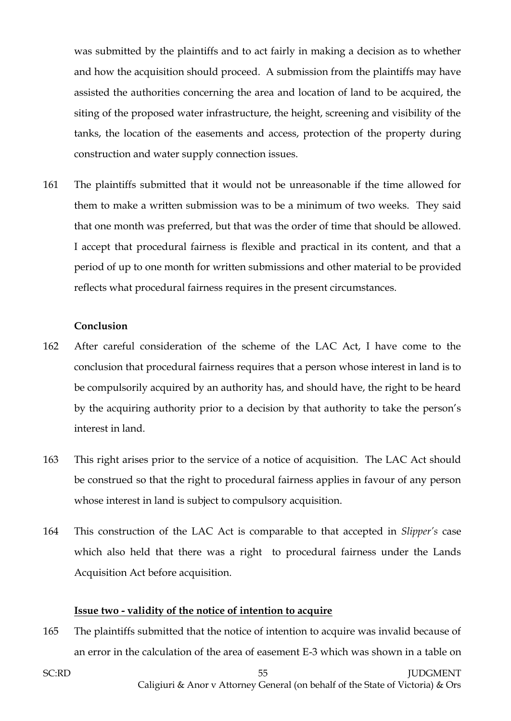was submitted by the plaintiffs and to act fairly in making a decision as to whether and how the acquisition should proceed. A submission from the plaintiffs may have assisted the authorities concerning the area and location of land to be acquired, the siting of the proposed water infrastructure, the height, screening and visibility of the tanks, the location of the easements and access, protection of the property during construction and water supply connection issues.

161 The plaintiffs submitted that it would not be unreasonable if the time allowed for them to make a written submission was to be a minimum of two weeks. They said that one month was preferred, but that was the order of time that should be allowed. I accept that procedural fairness is flexible and practical in its content, and that a period of up to one month for written submissions and other material to be provided reflects what procedural fairness requires in the present circumstances.

#### **Conclusion**

- 162 After careful consideration of the scheme of the LAC Act, I have come to the conclusion that procedural fairness requires that a person whose interest in land is to be compulsorily acquired by an authority has, and should have, the right to be heard by the acquiring authority prior to a decision by that authority to take the person's interest in land.
- 163 This right arises prior to the service of a notice of acquisition. The LAC Act should be construed so that the right to procedural fairness applies in favour of any person whose interest in land is subject to compulsory acquisition.
- 164 This construction of the LAC Act is comparable to that accepted in *Slipper's* case which also held that there was a right to procedural fairness under the Lands Acquisition Act before acquisition.

#### **Issue two - validity of the notice of intention to acquire**

165 The plaintiffs submitted that the notice of intention to acquire was invalid because of an error in the calculation of the area of easement E-3 which was shown in a table on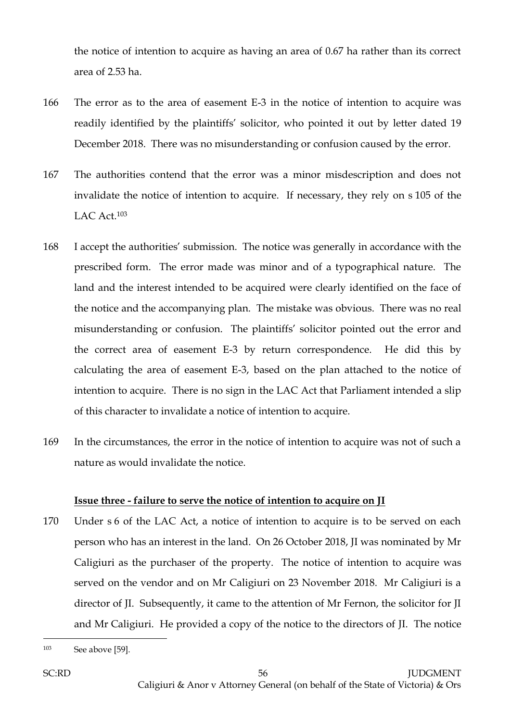the notice of intention to acquire as having an area of 0.67 ha rather than its correct area of 2.53 ha.

- 166 The error as to the area of easement E-3 in the notice of intention to acquire was readily identified by the plaintiffs' solicitor, who pointed it out by letter dated 19 December 2018. There was no misunderstanding or confusion caused by the error.
- 167 The authorities contend that the error was a minor misdescription and does not invalidate the notice of intention to acquire. If necessary, they rely on s 105 of the LAC Act.<sup>103</sup>
- 168 I accept the authorities' submission. The notice was generally in accordance with the prescribed form. The error made was minor and of a typographical nature. The land and the interest intended to be acquired were clearly identified on the face of the notice and the accompanying plan. The mistake was obvious. There was no real misunderstanding or confusion. The plaintiffs' solicitor pointed out the error and the correct area of easement E-3 by return correspondence. He did this by calculating the area of easement E-3, based on the plan attached to the notice of intention to acquire. There is no sign in the LAC Act that Parliament intended a slip of this character to invalidate a notice of intention to acquire.
- 169 In the circumstances, the error in the notice of intention to acquire was not of such a nature as would invalidate the notice.

## **Issue three - failure to serve the notice of intention to acquire on JI**

170 Under s 6 of the LAC Act, a notice of intention to acquire is to be served on each person who has an interest in the land. On 26 October 2018, JI was nominated by Mr Caligiuri as the purchaser of the property. The notice of intention to acquire was served on the vendor and on Mr Caligiuri on 23 November 2018. Mr Caligiuri is a director of JI. Subsequently, it came to the attention of Mr Fernon, the solicitor for JI and Mr Caligiuri. He provided a copy of the notice to the directors of JI. The notice

<sup>103</sup> See above [59].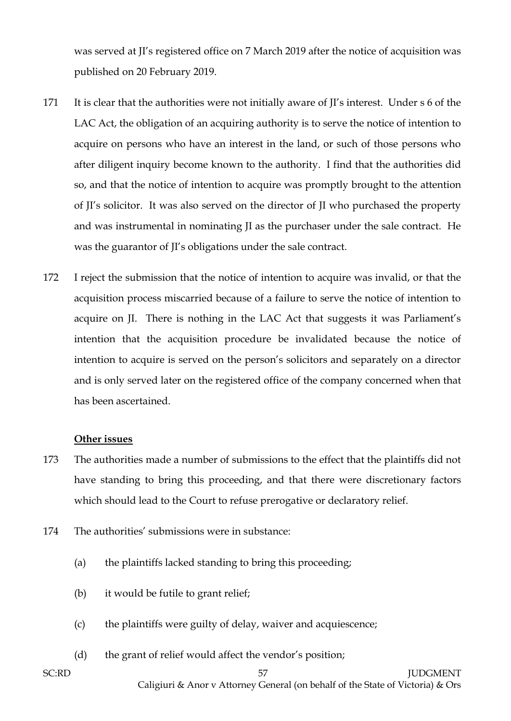was served at JI's registered office on 7 March 2019 after the notice of acquisition was published on 20 February 2019.

- 171 It is clear that the authorities were not initially aware of JI's interest. Under s 6 of the LAC Act, the obligation of an acquiring authority is to serve the notice of intention to acquire on persons who have an interest in the land, or such of those persons who after diligent inquiry become known to the authority. I find that the authorities did so, and that the notice of intention to acquire was promptly brought to the attention of JI's solicitor. It was also served on the director of JI who purchased the property and was instrumental in nominating JI as the purchaser under the sale contract. He was the guarantor of JI's obligations under the sale contract.
- 172 I reject the submission that the notice of intention to acquire was invalid, or that the acquisition process miscarried because of a failure to serve the notice of intention to acquire on JI. There is nothing in the LAC Act that suggests it was Parliament's intention that the acquisition procedure be invalidated because the notice of intention to acquire is served on the person's solicitors and separately on a director and is only served later on the registered office of the company concerned when that has been ascertained.

#### **Other issues**

- 173 The authorities made a number of submissions to the effect that the plaintiffs did not have standing to bring this proceeding, and that there were discretionary factors which should lead to the Court to refuse prerogative or declaratory relief.
- 174 The authorities' submissions were in substance:
	- (a) the plaintiffs lacked standing to bring this proceeding;
	- (b) it would be futile to grant relief;
	- (c) the plaintiffs were guilty of delay, waiver and acquiescence;
	- (d) the grant of relief would affect the vendor's position;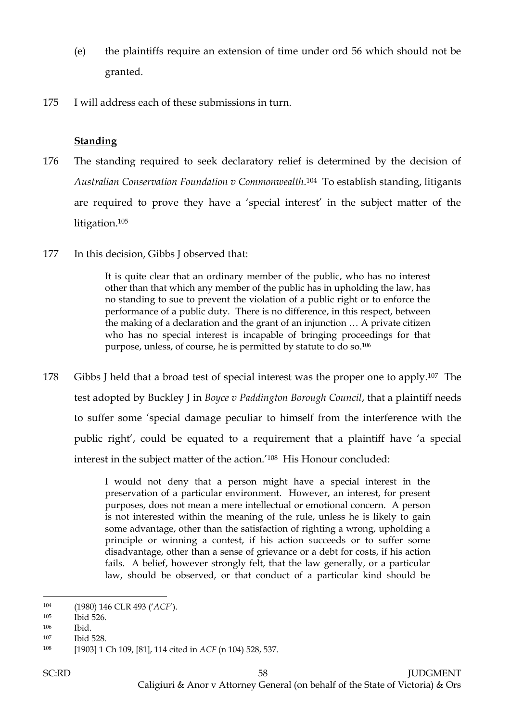- (e) the plaintiffs require an extension of time under ord 56 which should not be granted.
- 175 I will address each of these submissions in turn.

## **Standing**

- 176 The standing required to seek declaratory relief is determined by the decision of *Australian Conservation Foundation v Commonwealth*. <sup>104</sup> To establish standing, litigants are required to prove they have a 'special interest' in the subject matter of the litigation.<sup>105</sup>
- 177 In this decision, Gibbs J observed that:

It is quite clear that an ordinary member of the public, who has no interest other than that which any member of the public has in upholding the law, has no standing to sue to prevent the violation of a public right or to enforce the performance of a public duty. There is no difference, in this respect, between the making of a declaration and the grant of an injunction … A private citizen who has no special interest is incapable of bringing proceedings for that purpose, unless, of course, he is permitted by statute to do so.<sup>106</sup>

178 Gibbs J held that a broad test of special interest was the proper one to apply.<sup>107</sup> The test adopted by Buckley J in *Boyce v Paddington Borough Council*, that a plaintiff needs to suffer some 'special damage peculiar to himself from the interference with the public right', could be equated to a requirement that a plaintiff have 'a special interest in the subject matter of the action.' <sup>108</sup> His Honour concluded:

> I would not deny that a person might have a special interest in the preservation of a particular environment. However, an interest, for present purposes, does not mean a mere intellectual or emotional concern. A person is not interested within the meaning of the rule, unless he is likely to gain some advantage, other than the satisfaction of righting a wrong, upholding a principle or winning a contest, if his action succeeds or to suffer some disadvantage, other than a sense of grievance or a debt for costs, if his action fails. A belief, however strongly felt, that the law generally, or a particular law, should be observed, or that conduct of a particular kind should be

<sup>104</sup> (1980) 146 CLR 493 ('*ACF*').

<sup>105</sup> Ibid 526.

<sup>106</sup> Ibid.

<sup>107</sup> Ibid 528.

<sup>108</sup> [1903] 1 Ch 109, [81], 114 cited in *ACF* (n 104) 528, 537.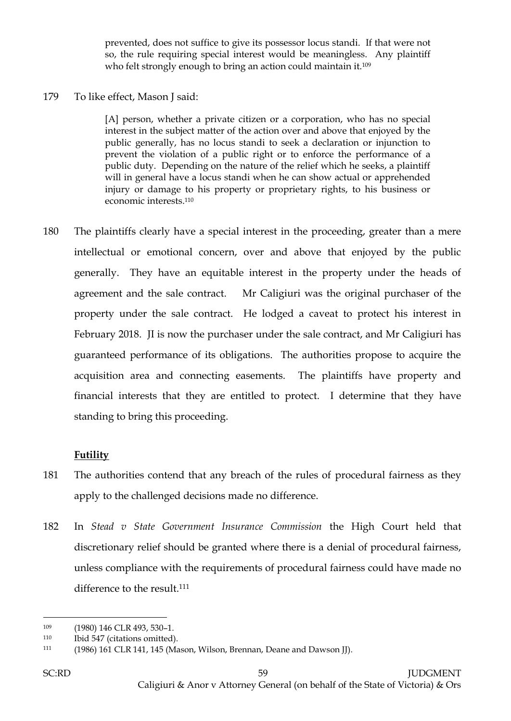prevented, does not suffice to give its possessor locus standi. If that were not so, the rule requiring special interest would be meaningless. Any plaintiff who felt strongly enough to bring an action could maintain it.<sup>109</sup>

#### 179 To like effect, Mason J said:

[A] person, whether a private citizen or a corporation, who has no special interest in the subject matter of the action over and above that enjoyed by the public generally, has no locus standi to seek a declaration or injunction to prevent the violation of a public right or to enforce the performance of a public duty. Depending on the nature of the relief which he seeks, a plaintiff will in general have a locus standi when he can show actual or apprehended injury or damage to his property or proprietary rights, to his business or economic interests. 110

180 The plaintiffs clearly have a special interest in the proceeding, greater than a mere intellectual or emotional concern, over and above that enjoyed by the public generally. They have an equitable interest in the property under the heads of agreement and the sale contract. Mr Caligiuri was the original purchaser of the property under the sale contract. He lodged a caveat to protect his interest in February 2018. JI is now the purchaser under the sale contract, and Mr Caligiuri has guaranteed performance of its obligations. The authorities propose to acquire the acquisition area and connecting easements. The plaintiffs have property and financial interests that they are entitled to protect. I determine that they have standing to bring this proceeding.

## **Futility**

- 181 The authorities contend that any breach of the rules of procedural fairness as they apply to the challenged decisions made no difference.
- 182 In *Stead v State Government Insurance Commission* the High Court held that discretionary relief should be granted where there is a denial of procedural fairness, unless compliance with the requirements of procedural fairness could have made no difference to the result.<sup>111</sup>

<sup>109 (1980) 146</sup> CLR 493, 530-1.

<sup>110</sup> Ibid 547 (citations omitted).

<sup>111</sup> (1986) 161 CLR 141, 145 (Mason, Wilson, Brennan, Deane and Dawson JJ).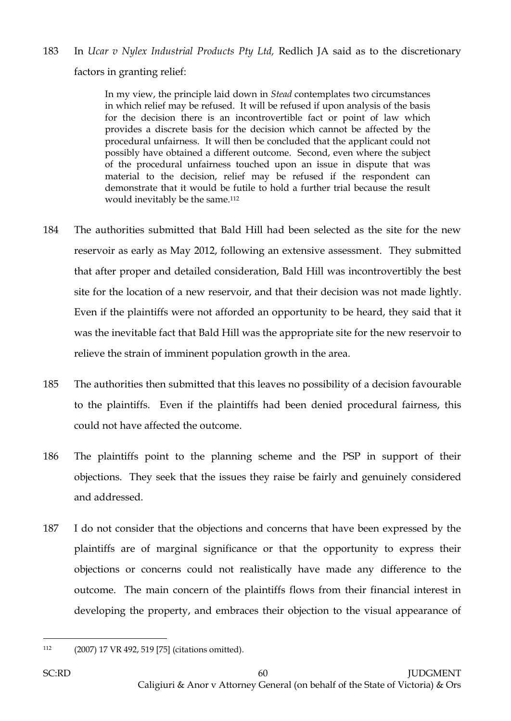183 In *Ucar v Nylex Industrial Products Pty Ltd,* Redlich JA said as to the discretionary factors in granting relief:

> In my view, the principle laid down in *Stead* contemplates two circumstances in which relief may be refused. It will be refused if upon analysis of the basis for the decision there is an incontrovertible fact or point of law which provides a discrete basis for the decision which cannot be affected by the procedural unfairness. It will then be concluded that the applicant could not possibly have obtained a different outcome. Second, even where the subject of the procedural unfairness touched upon an issue in dispute that was material to the decision, relief may be refused if the respondent can demonstrate that it would be futile to hold a further trial because the result would inevitably be the same.<sup>112</sup>

- 184 The authorities submitted that Bald Hill had been selected as the site for the new reservoir as early as May 2012, following an extensive assessment. They submitted that after proper and detailed consideration, Bald Hill was incontrovertibly the best site for the location of a new reservoir, and that their decision was not made lightly. Even if the plaintiffs were not afforded an opportunity to be heard, they said that it was the inevitable fact that Bald Hill was the appropriate site for the new reservoir to relieve the strain of imminent population growth in the area.
- 185 The authorities then submitted that this leaves no possibility of a decision favourable to the plaintiffs. Even if the plaintiffs had been denied procedural fairness, this could not have affected the outcome.
- 186 The plaintiffs point to the planning scheme and the PSP in support of their objections. They seek that the issues they raise be fairly and genuinely considered and addressed.
- 187 I do not consider that the objections and concerns that have been expressed by the plaintiffs are of marginal significance or that the opportunity to express their objections or concerns could not realistically have made any difference to the outcome. The main concern of the plaintiffs flows from their financial interest in developing the property, and embraces their objection to the visual appearance of

 $\overline{a}$ <sup>112</sup> (2007) 17 VR 492, 519 [75] (citations omitted).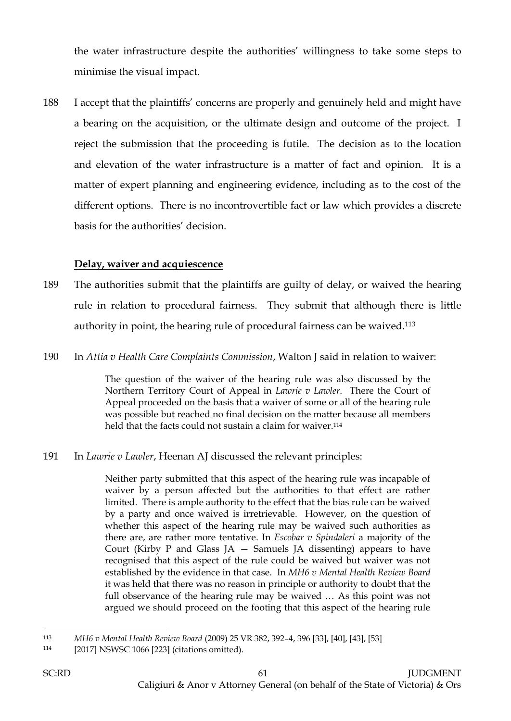the water infrastructure despite the authorities' willingness to take some steps to minimise the visual impact.

188 I accept that the plaintiffs' concerns are properly and genuinely held and might have a bearing on the acquisition, or the ultimate design and outcome of the project. I reject the submission that the proceeding is futile. The decision as to the location and elevation of the water infrastructure is a matter of fact and opinion. It is a matter of expert planning and engineering evidence, including as to the cost of the different options. There is no incontrovertible fact or law which provides a discrete basis for the authorities' decision.

## **Delay, waiver and acquiescence**

- 189 The authorities submit that the plaintiffs are guilty of delay, or waived the hearing rule in relation to procedural fairness. They submit that although there is little authority in point, the hearing rule of procedural fairness can be waived.<sup>113</sup>
- 190 In *Attia v Health Care Complaints Commission*, Walton J said in relation to waiver:

The question of the waiver of the hearing rule was also discussed by the Northern Territory Court of Appeal in *Lawrie v Lawler*. There the Court of Appeal proceeded on the basis that a waiver of some or all of the hearing rule was possible but reached no final decision on the matter because all members held that the facts could not sustain a claim for waiver.<sup>114</sup>

191 In *Lawrie v Lawler*, Heenan AJ discussed the relevant principles:

Neither party submitted that this aspect of the hearing rule was incapable of waiver by a person affected but the authorities to that effect are rather limited. There is ample authority to the effect that the bias rule can be waived by a party and once waived is irretrievable. However, on the question of whether this aspect of the hearing rule may be waived such authorities as there are, are rather more tentative. In *Escobar v Spindaleri* a majority of the Court (Kirby P and Glass JA  $-$  Samuels JA dissenting) appears to have recognised that this aspect of the rule could be waived but waiver was not established by the evidence in that case. In *MH6 v Mental Health Review Board* it was held that there was no reason in principle or authority to doubt that the full observance of the hearing rule may be waived … As this point was not argued we should proceed on the footing that this aspect of the hearing rule

 $\overline{a}$ <sup>113</sup> *MH6 v Mental Health Review Board* (2009) 25 VR 382, 392–4, 396 [33], [40], [43], [53]

<sup>114</sup> [2017] NSWSC 1066 [223] (citations omitted).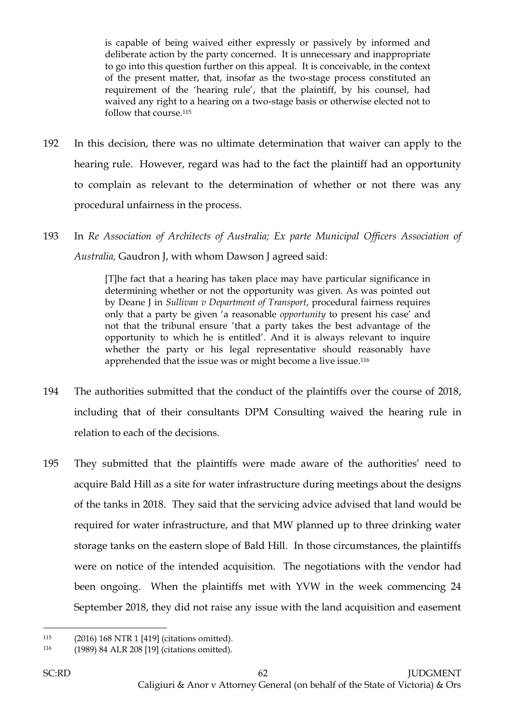is capable of being waived either expressly or passively by informed and deliberate action by the party concerned. It is unnecessary and inappropriate to go into this question further on this appeal. It is conceivable, in the context of the present matter, that, insofar as the two-stage process constituted an requirement of the 'hearing rule', that the plaintiff, by his counsel, had waived any right to a hearing on a two-stage basis or otherwise elected not to follow that course.<sup>115</sup>

- 192 In this decision, there was no ultimate determination that waiver can apply to the hearing rule. However, regard was had to the fact the plaintiff had an opportunity to complain as relevant to the determination of whether or not there was any procedural unfairness in the process.
- 193 In *Re Association of Architects of Australia; Ex parte Municipal Officers Association of Australia,* Gaudron J, with whom Dawson J agreed said:

[T]he fact that a hearing has taken place may have particular significance in determining whether or not the opportunity was given. As was pointed out by Deane J in *Sullivan v Department of Transport*, procedural fairness requires only that a party be given 'a reasonable *opportunity* to present his case' and not that the tribunal ensure 'that a party takes the best advantage of the opportunity to which he is entitled'. And it is always relevant to inquire whether the party or his legal representative should reasonably have apprehended that the issue was or might become a live issue. 116

- 194 The authorities submitted that the conduct of the plaintiffs over the course of 2018, including that of their consultants DPM Consulting waived the hearing rule in relation to each of the decisions.
- 195 They submitted that the plaintiffs were made aware of the authorities' need to acquire Bald Hill as a site for water infrastructure during meetings about the designs of the tanks in 2018. They said that the servicing advice advised that land would be required for water infrastructure, and that MW planned up to three drinking water storage tanks on the eastern slope of Bald Hill. In those circumstances, the plaintiffs were on notice of the intended acquisition. The negotiations with the vendor had been ongoing. When the plaintiffs met with YVW in the week commencing 24 September 2018, they did not raise any issue with the land acquisition and easement

<sup>115</sup> (2016) 168 NTR 1 [419] (citations omitted).

<sup>116</sup> (1989) 84 ALR 208 [19] (citations omitted).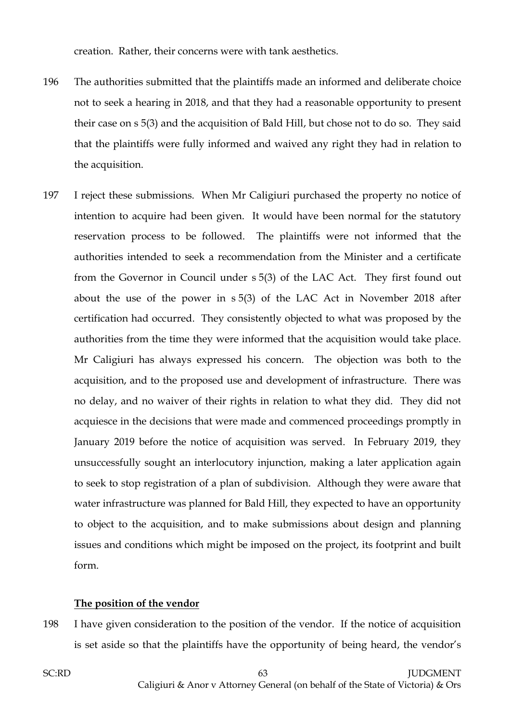creation. Rather, their concerns were with tank aesthetics.

- 196 The authorities submitted that the plaintiffs made an informed and deliberate choice not to seek a hearing in 2018, and that they had a reasonable opportunity to present their case on s 5(3) and the acquisition of Bald Hill, but chose not to do so. They said that the plaintiffs were fully informed and waived any right they had in relation to the acquisition.
- 197 I reject these submissions. When Mr Caligiuri purchased the property no notice of intention to acquire had been given. It would have been normal for the statutory reservation process to be followed. The plaintiffs were not informed that the authorities intended to seek a recommendation from the Minister and a certificate from the Governor in Council under s 5(3) of the LAC Act. They first found out about the use of the power in s 5(3) of the LAC Act in November 2018 after certification had occurred. They consistently objected to what was proposed by the authorities from the time they were informed that the acquisition would take place. Mr Caligiuri has always expressed his concern. The objection was both to the acquisition, and to the proposed use and development of infrastructure. There was no delay, and no waiver of their rights in relation to what they did. They did not acquiesce in the decisions that were made and commenced proceedings promptly in January 2019 before the notice of acquisition was served. In February 2019, they unsuccessfully sought an interlocutory injunction, making a later application again to seek to stop registration of a plan of subdivision. Although they were aware that water infrastructure was planned for Bald Hill, they expected to have an opportunity to object to the acquisition, and to make submissions about design and planning issues and conditions which might be imposed on the project, its footprint and built form.

#### **The position of the vendor**

198 I have given consideration to the position of the vendor. If the notice of acquisition is set aside so that the plaintiffs have the opportunity of being heard, the vendor's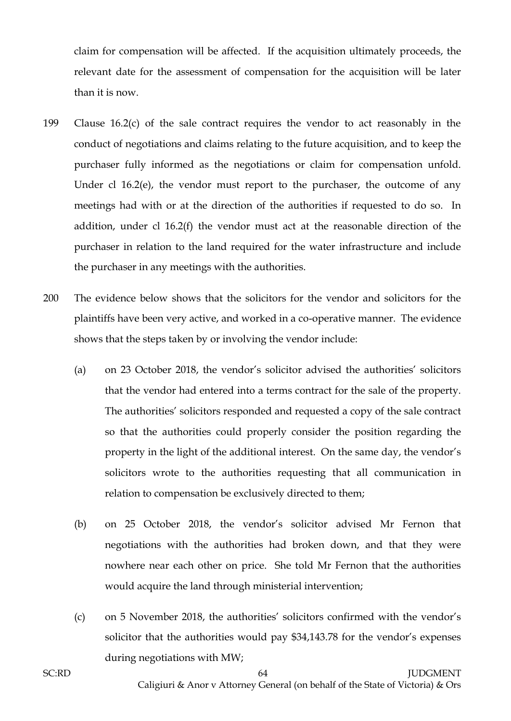claim for compensation will be affected. If the acquisition ultimately proceeds, the relevant date for the assessment of compensation for the acquisition will be later than it is now.

- 199 Clause 16.2(c) of the sale contract requires the vendor to act reasonably in the conduct of negotiations and claims relating to the future acquisition, and to keep the purchaser fully informed as the negotiations or claim for compensation unfold. Under cl 16.2(e), the vendor must report to the purchaser, the outcome of any meetings had with or at the direction of the authorities if requested to do so. In addition, under cl 16.2(f) the vendor must act at the reasonable direction of the purchaser in relation to the land required for the water infrastructure and include the purchaser in any meetings with the authorities.
- 200 The evidence below shows that the solicitors for the vendor and solicitors for the plaintiffs have been very active, and worked in a co-operative manner. The evidence shows that the steps taken by or involving the vendor include:
	- (a) on 23 October 2018, the vendor's solicitor advised the authorities' solicitors that the vendor had entered into a terms contract for the sale of the property. The authorities' solicitors responded and requested a copy of the sale contract so that the authorities could properly consider the position regarding the property in the light of the additional interest. On the same day, the vendor's solicitors wrote to the authorities requesting that all communication in relation to compensation be exclusively directed to them;
	- (b) on 25 October 2018, the vendor's solicitor advised Mr Fernon that negotiations with the authorities had broken down, and that they were nowhere near each other on price. She told Mr Fernon that the authorities would acquire the land through ministerial intervention;
	- (c) on 5 November 2018, the authorities' solicitors confirmed with the vendor's solicitor that the authorities would pay \$34,143.78 for the vendor's expenses during negotiations with MW;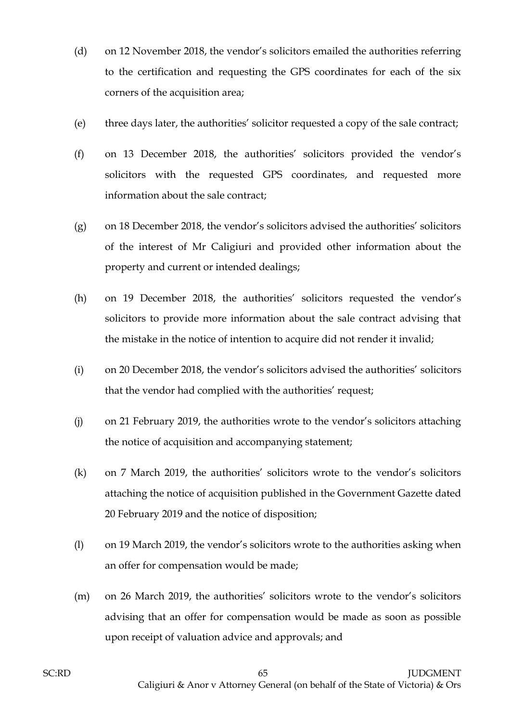- (d) on 12 November 2018, the vendor's solicitors emailed the authorities referring to the certification and requesting the GPS coordinates for each of the six corners of the acquisition area;
- (e) three days later, the authorities' solicitor requested a copy of the sale contract;
- (f) on 13 December 2018, the authorities' solicitors provided the vendor's solicitors with the requested GPS coordinates, and requested more information about the sale contract;
- (g) on 18 December 2018, the vendor's solicitors advised the authorities' solicitors of the interest of Mr Caligiuri and provided other information about the property and current or intended dealings;
- (h) on 19 December 2018, the authorities' solicitors requested the vendor's solicitors to provide more information about the sale contract advising that the mistake in the notice of intention to acquire did not render it invalid;
- (i) on 20 December 2018, the vendor's solicitors advised the authorities' solicitors that the vendor had complied with the authorities' request;
- (j) on 21 February 2019, the authorities wrote to the vendor's solicitors attaching the notice of acquisition and accompanying statement;
- (k) on 7 March 2019, the authorities' solicitors wrote to the vendor's solicitors attaching the notice of acquisition published in the Government Gazette dated 20 February 2019 and the notice of disposition;
- (l) on 19 March 2019, the vendor's solicitors wrote to the authorities asking when an offer for compensation would be made;
- (m) on 26 March 2019, the authorities' solicitors wrote to the vendor's solicitors advising that an offer for compensation would be made as soon as possible upon receipt of valuation advice and approvals; and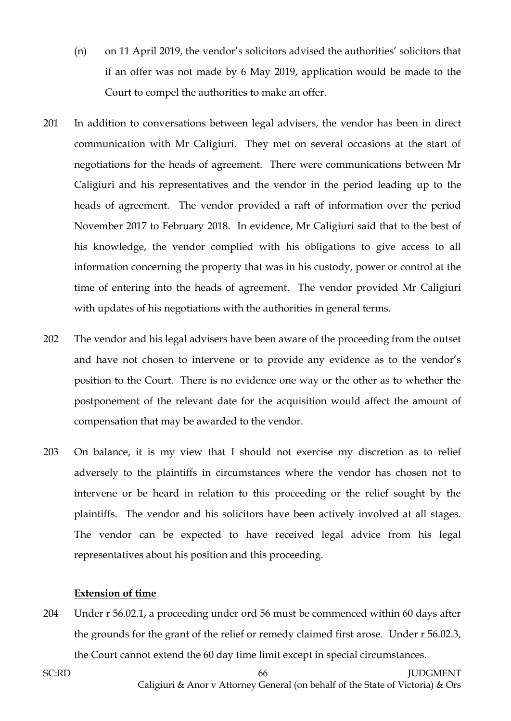- (n) on 11 April 2019, the vendor's solicitors advised the authorities' solicitors that if an offer was not made by 6 May 2019, application would be made to the Court to compel the authorities to make an offer.
- 201 In addition to conversations between legal advisers, the vendor has been in direct communication with Mr Caligiuri. They met on several occasions at the start of negotiations for the heads of agreement. There were communications between Mr Caligiuri and his representatives and the vendor in the period leading up to the heads of agreement. The vendor provided a raft of information over the period November 2017 to February 2018. In evidence, Mr Caligiuri said that to the best of his knowledge, the vendor complied with his obligations to give access to all information concerning the property that was in his custody, power or control at the time of entering into the heads of agreement. The vendor provided Mr Caligiuri with updates of his negotiations with the authorities in general terms.
- 202 The vendor and his legal advisers have been aware of the proceeding from the outset and have not chosen to intervene or to provide any evidence as to the vendor's position to the Court. There is no evidence one way or the other as to whether the postponement of the relevant date for the acquisition would affect the amount of compensation that may be awarded to the vendor.
- 203 On balance, it is my view that I should not exercise my discretion as to relief adversely to the plaintiffs in circumstances where the vendor has chosen not to intervene or be heard in relation to this proceeding or the relief sought by the plaintiffs. The vendor and his solicitors have been actively involved at all stages. The vendor can be expected to have received legal advice from his legal representatives about his position and this proceeding.

#### **Extension of time**

204 Under r 56.02.1, a proceeding under ord 56 must be commenced within 60 days after the grounds for the grant of the relief or remedy claimed first arose. Under r 56.02.3, the Court cannot extend the 60 day time limit except in special circumstances.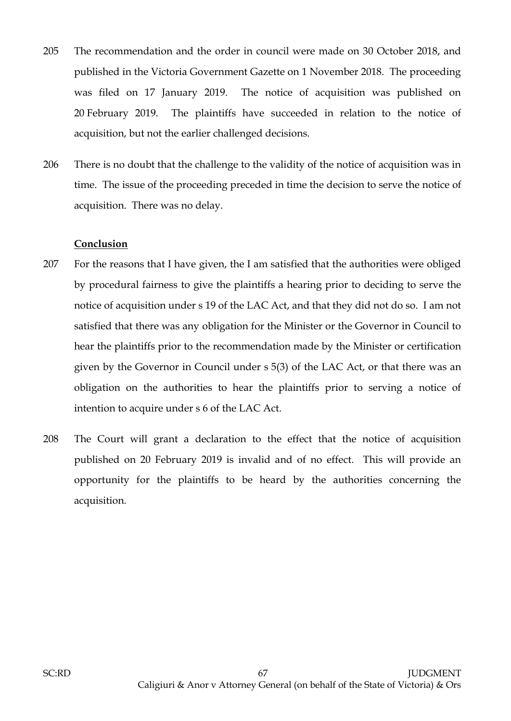- 205 The recommendation and the order in council were made on 30 October 2018, and published in the Victoria Government Gazette on 1 November 2018. The proceeding was filed on 17 January 2019. The notice of acquisition was published on 20 February 2019. The plaintiffs have succeeded in relation to the notice of acquisition, but not the earlier challenged decisions.
- 206 There is no doubt that the challenge to the validity of the notice of acquisition was in time. The issue of the proceeding preceded in time the decision to serve the notice of acquisition. There was no delay.

#### **Conclusion**

- 207 For the reasons that I have given, the I am satisfied that the authorities were obliged by procedural fairness to give the plaintiffs a hearing prior to deciding to serve the notice of acquisition under s 19 of the LAC Act, and that they did not do so. I am not satisfied that there was any obligation for the Minister or the Governor in Council to hear the plaintiffs prior to the recommendation made by the Minister or certification given by the Governor in Council under s 5(3) of the LAC Act, or that there was an obligation on the authorities to hear the plaintiffs prior to serving a notice of intention to acquire under s 6 of the LAC Act.
- 208 The Court will grant a declaration to the effect that the notice of acquisition published on 20 February 2019 is invalid and of no effect. This will provide an opportunity for the plaintiffs to be heard by the authorities concerning the acquisition.